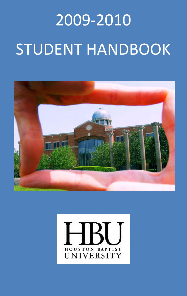# 2009-2010 STUDENT HANDBOOK



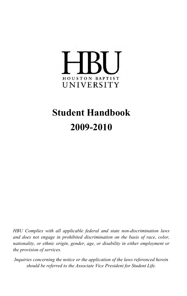

## **Student Handbook 2009-2010**

*HBU Complies with all applicable federal and state non-discrimination laws and does not engage in prohibited discrimination on the basis of race, color, nationality, or ethnic origin, gender, age, or disability in either employment or the provision of services.* 

*Inquiries concerning the notice or the application of the laws referenced herein should be referred to the Associate Vice President for Student Life.*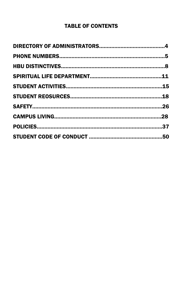## TABLE OF CONTENTS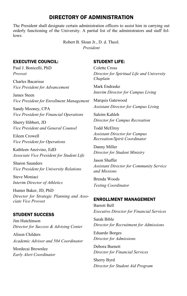## DIRECTORY OF ADMINISTRATION

The President shall designate certain administration officers to assist him in carrying out orderly functioning of the University. A partial list of the administrators and staff follows:

> Robert B. Sloan Jr., D. d. Theol. *President*

#### EXECUTIVE COUNCIL:

Paul J. Bonicelli, PhD *Provost* 

Charles Bacarisse *Vice President for Advancement*

James Steen *Vice President for Enrollment Management* 

Sandy Mooney, CPA *Vice President for Financial Operations*

Sherry Hibbert, JD *Vice President and General Counsel* 

Eileen Crowell *Vice President for Operations* 

Kathleen Anzivino, EdD *Associate Vice President for Student Life* 

Sharon Saunders *Vice President for University Relations*

Steve Moniaci *Interim Director of Athletics* 

Hunter Baker, JD, PhD *Director for Strategic Planning and Associate Vice Provost* 

#### STUDENT SUCCESS

Jim Hutchinson *Director for Success & Advising Center*

Alison Childers *Academic Advisor and 504 Coordinator* 

Mordecai Brownlee *Early Alert Coordinator* 

#### STUDENT LIFE:

Colette Cross *Director for Spiritual Life and University Chaplain*

Mark Endraske *Interim Director for Campus Living* 

Marquis Gatewood *Assistant Director for Campus Living* 

Saleim Kahleh *Director for Campus Recreation* 

Todd McElroy *Assistant Director for Campus Recreation/Spirit Coordinator*

Danny Miller *Director for Student Ministry* 

Jason Shaffer *Assistant Director for Community Service and Missions* 

Brenda Woods *Testing Coordinator* 

#### ENROLLMENT MANAGEMENT

Barrett Bell *Executive Director for Financial Services* 

Sarah Bible *Director for Recruitment for Admissions* 

Eduardo Borges *Director for Admissions* 

Debora Burnett *Director for Financial Services*

Sherry Byrd *Director for Student Aid Program*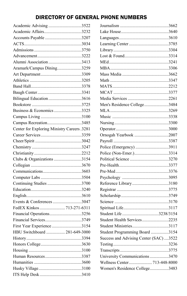## DIRECTORY OF GENERAL PHONE NUMBERS

| Academic Advising3522                       |  |
|---------------------------------------------|--|
| Academic Affairs3232                        |  |
| Accounts Payable 3207                       |  |
|                                             |  |
|                                             |  |
|                                             |  |
| Alumni Association3413                      |  |
| Aramark/Campus Dining3259                   |  |
|                                             |  |
|                                             |  |
|                                             |  |
|                                             |  |
| Bilingual Education3616                     |  |
|                                             |  |
| Business & Economics 3325                   |  |
|                                             |  |
| Campus Recreation3485                       |  |
| Center for Exploring Ministry Careers .3281 |  |
|                                             |  |
|                                             |  |
|                                             |  |
|                                             |  |
| Clubs & Organizations 3154                  |  |
|                                             |  |
|                                             |  |
|                                             |  |
| Continuing Studies 3700                     |  |
|                                             |  |
|                                             |  |
| Events & Conferences 3047                   |  |
| FedEX Kinkos  713-271-6311                  |  |
| Financial Operations3256                    |  |
|                                             |  |
| First Year Experience 3154                  |  |
| HBU Switchboard  281-649-3000               |  |
|                                             |  |
|                                             |  |
|                                             |  |
| Human Resources3387                         |  |
|                                             |  |
|                                             |  |
|                                             |  |

| Men's Residence College3484            |  |
|----------------------------------------|--|
|                                        |  |
|                                        |  |
|                                        |  |
|                                        |  |
| Ornogah Yearbook 2007                  |  |
|                                        |  |
| Police (Emergency) 3911                |  |
| Police (Non-Emer.)3314                 |  |
|                                        |  |
|                                        |  |
|                                        |  |
|                                        |  |
|                                        |  |
|                                        |  |
|                                        |  |
|                                        |  |
|                                        |  |
| Student Life 3238/3154                 |  |
| Student Health Services2235            |  |
| Student Ministries3117                 |  |
| Student Programming Board 3154         |  |
| Success and Advising Center (SAC) 3522 |  |
|                                        |  |
|                                        |  |
| University Communications 3470         |  |
| Wellness Center 713-448-8000           |  |
| Women's Residence College3483          |  |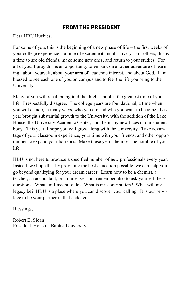## FROM THE PRESIDENT

Dear HBU Huskies,

For some of you, this is the beginning of a new phase of life – the first weeks of your college experience – a time of excitement and discovery. For others, this is a time to see old friends, make some new ones, and return to your studies. For all of you, I pray this is an opportunity to embark on another adventure of learning: about yourself, about your area of academic interest, and about God. I am blessed to see each one of you on campus and to feel the life you bring to the University.

Many of you will recall being told that high school is the greatest time of your life. I respectfully disagree. The college years are foundational, a time when you will decide, in many ways, who you are and who you want to become. Last year brought substantial growth to the University, with the addition of the Lake House, the University Academic Center, and the many new faces in our student body. This year, I hope you will grow along with the University. Take advantage of your classroom experience, your time with your friends, and other opportunities to expand your horizons. Make these years the most memorable of your life.

HBU is not here to produce a specified number of new professionals every year. Instead, we hope that by providing the best education possible, we can help you go beyond qualifying for your dream career. Learn how to be a chemist, a teacher, an accountant, or a nurse, yes, but remember also to ask yourself these questions: What am I meant to do? What is my contribution? What will my legacy be? HBU is a place where you can discover your calling. It is our privilege to be your partner in that endeavor.

Blessings,

Robert B. Sloan President, Houston Baptist University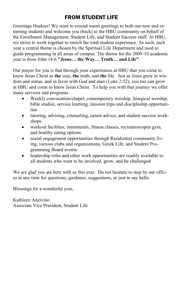## FROM STUDENT LIFE

Greetings Huskies! We want to extend warm greetings to both our new and returning students and welcome you (back) to the HBU community on behalf of the Enrollment Management, Student Life, and Student Success staff. At HBU, we strive to work together to enrich the total student experience. As such, each year a central theme is chosen by the Spiritual Life Department and used to guide programming in all areas of campus. The theme for the 2009-10 academic year is from John 14:6 **"Jesus… the Way… Truth… and Life"**.

Our prayer for you is that through your experiences at HBU that you come to know Jesus Christ as **the** way, **the** truth, and **the** life. Just as Jesus grew in wisdom and statue, and in favor with God and man (Luke 2:52), you too can grow at HBU and come to know Jesus Christ. To help you with that journey we offer many services and programs:

- Weekly convocation/chapel, contemporary worship, liturgical worship, bible studies, service learning, mission trips and discipleship opportunities
- tutoring, advising, counseling, career advice, and student success workshops
- workout facilities, intramurals, fitness classes, recreation/open gym, and healthy eating options
- social engagement opportunities through Residential community living, various clubs and organizations, Greek Life, and Student Programming Board events
- leadership roles and other work opportunities are readily available to all students who want to be involved, grow, and be challenged

We are glad you are here with us this year. Do not hesitate to stop by our offices at any time for questions, guidance, suggestions, or just to say hello.

Blessings for a wonderful year,

Kathleen Anzivino Associate Vice President, Student Life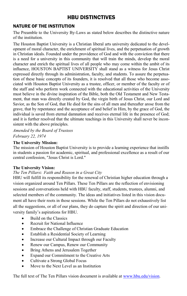## HBU DISTINCTIVES

#### NATURE OF THE INSTITUTION

The Preamble to the University By-Laws as stated below describes the distinctive nature of the institution.

The Houston Baptist University is a Christian liberal arts university dedicated to the development of moral character, the enrichment of spiritual lives, and the perpetuation of growth in Christian ideals. Founded under the providence of God and with the conviction that there is a need for a university in this community that will train the minds, develop the moral character and enrich the spiritual lives of all people who may come within the ambit of its influence, HOUSTON BAPTIST UNIVERSITY shall stand as a witness for Jesus Christ expressed directly through its administration, faculty, and students. To assure the perpetuation of these basic concepts of its founders, it is resolved that all those who become associated with Houston Baptist University as a trustee, officer, or member of the faculty or of the staff and who perform work connected with the educational activities of the University must believe in the divine inspiration of the Bible, both the Old Testament and New Testament, that man was directly created by God, the virgin birth of Jesus Christ, our Lord and Savior, as the Son of God, that He died for the sins of all men and thereafter arose from the grave, that by repentance and the acceptance of and belief in Him, by the grace of God, the individual is saved from eternal damnation and receives eternal life in the presence of God; and it is further resolved that the ultimate teachings in this University shall never be inconsistent with the above principles.

*Amended by the Board of Trustees February 22, 1974* 

#### **The University Mission:**

The mission of Houston Baptist University is to provide a learning experience that instills in students a passion for academic, spiritual, and professional excellence as a result of our central confession, "Jesus Christ is Lord."

#### **The University Vision:**

#### *The Ten Pillars***:** *Faith and Reason in a Great City*

HBU will fulfill its responsibility for the renewal of Christian higher education through a vision organized around Ten Pillars. These Ten Pillars are the reflection of envisioning sessions and conversations held with HBU faculty, staff, students, trustees, alumni, and selected members of the community. The ideas and initiatives listed in this vision document all have their roots in those sessions. While the Ten Pillars do not exhaustively list all the suggestions, or all of our plans, they do capture the spirit and direction of our university family's aspirations for HBU.

- Build on the Classics
- Recruit for National Influence
- Embrace the Challenge of Christian Graduate Education
- Establish a Residential Society of Learning
- Increase our Cultural Impact through our Faculty
- Renew our Campus, Renew our Community
- Bring Athens and Jerusalem Together
- Expand our Commitment to the Creative Arts
- Cultivate a Strong Global Focus
- Move to the Next Level as an Institution

The full text of The Ten Pillars vision document is available at [www.hbu.edu/vision.](http://www.hbu.edu/vision)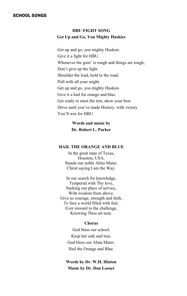#### **HBU FIGHT SONG Get Up and Go, You Mighty Huskies**

Get up and go, you mighty Huskies Give it a fight for HBU. Whenever the goin' is rough and things are tough, Don't give up the fight. Shoulder the load, hold to the road, Pull with all your might. Get up and go, you mighty Huskies Give it a hail for orange and blue. Get ready to meet the test, show your best Drive until you've made History, with victory You'll win for HBU.

#### **Words and music by Dr. Robert L. Parker**

#### **HAIL THE ORANGE AND BLUE**

In the great state of Texas, Houston, USA, Stands our noble Alma Mater, Christ saying I am the Way.

In our search for knowledge, Tempered with Thy love, Seeking our place of service, With wisdom from above. Give us courage, strength and faith, To face a world filled with fear. Ever onward to the challenge, Knowing Thou art near.

#### **Chorus**

God bless our school. Keep her safe and true. God bless our Alma Mater. Hail the Orange and Blue.

**Words by Dr. W.H. Hinton Music by Dr. Don Looser**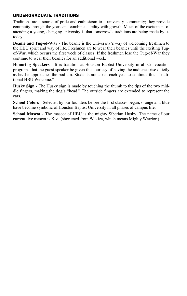#### UNDERGRADUATE TRADITIONS

Traditions are a source of pride and enthusiasm to a university community; they provide continuity through the years and combine stability with growth. Much of the excitement of attending a young, changing university is that tomorrow's traditions are being made by us today.

**Beanie and Tug-of-War** - The beanie is the University's way of welcoming freshmen to the HBU spirit and way of life. Freshmen are to wear their beanies until the exciting Tugof-War, which occurs the first week of classes. If the freshmen lose the Tug-of-War they continue to wear their beanies for an additional week.

**Honoring Speakers** - It is tradition at Houston Baptist University in all Convocation programs that the guest speaker be given the courtesy of having the audience rise quietly as he/she approaches the podium. Students are asked each year to continue this "Traditional HBU Welcome."

**Husky Sign** - The Husky sign is made by touching the thumb to the tips of the two middle fingers, making the dog's "head." The outside fingers are extended to represent the ears.

**School Colors** - Selected by our founders before the first classes began, orange and blue have become symbolic of Houston Baptist University in all phases of campus life.

**School Mascot** - The mascot of HBU is the mighty Siberian Husky. The name of our current live mascot is Kiza (shortened from Wakiza, which means Mighty Warrior.)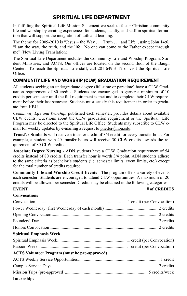## SPIRITUAL LIFE DEPARTMENT

In fulfilling the Spiritual Life Mission Statement we seek to foster Christian community life and worship by creating experiences for students, faculty, and staff in spiritual formation that will support the integration of faith and learning.

The theme for 2009-2010 is "Jesus – the Way . . . Truth . . . and Life", using John 14:6, "I am the way, the truth, and the life. No one can come to the Father except through me" (New Living Translation).

The Spiritual Life Department includes the Community Life and Worship Program, Student Ministries, and ACTS. Our offices are located on the second floor of the Baugh Center. To reach the Spiritual Life staff, call 281-649-3117 or visit the Spiritual Life Office.

#### COMMUNITY LIFE AND WORSHIP (CLW) GRADUATION REQUIREMENT

All students seeking an undergraduate degree (full-time or part-time) have a CLW Graduation requirement of 80 credits. Students are encouraged to garner a minimum of 10 credits per semester until the full requirement is met and to complete their CLW requirement before their last semester. Students must satisfy this requirement in order to graduate from HBU.

*Community Life and Worship,* published each semester, provides details about available CLW events. Questions about the CLW graduation requirement or the Spiritual Life Program may be directed to the Spiritual Life Office. Students may subscribe to CLW email for weekly updates by e-mailing a request to pnetter@hbu.edu.

**Transfer Students** will receive a transfer credit of 3/4 credit for every transfer hour. For example, a student with 40 transfer hours will receive 30 CLW credits towards the requirement of 80 CLW credits.

**Associate Degree Nursing** - ADN students have a CLW Graduation requirement of 54 credits instead of 80 credits. Each transfer hour is worth 3/4 point. ADN students adhere to the same criteria as bachelor's students (i.e. semester limits, event limits, etc.) except for the total number of credits required.

**Community Life and Worship Credit Events** - The program offers a variety of events each semester. Students are encouraged to attend CLW opportunities. A maximum of 20 credits will be allowed per semester. Credits may be obtained in the following categories:

**Convocations** 

#### **EVENT** # of CREDITS

| <b>Spiritual Emphasis Week</b>                       |  |
|------------------------------------------------------|--|
|                                                      |  |
|                                                      |  |
| <b>ACTS</b> Volunteer Program (must be pre-approved) |  |
|                                                      |  |
|                                                      |  |
|                                                      |  |
| Internships                                          |  |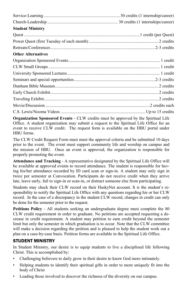| <b>Student Ministry</b>   |  |
|---------------------------|--|
|                           |  |
|                           |  |
|                           |  |
| <b>Other Alternatives</b> |  |
|                           |  |
|                           |  |
|                           |  |
|                           |  |
|                           |  |
|                           |  |
|                           |  |
|                           |  |
|                           |  |

**Organization Sponsored Events** - CLW credits must be approved by the Spiritual Life Office. A student organization may submit a request to the Spiritual Life Office for an event to receive CLW credit. The request form is available on the HBU portal under HBU forms.

The CLW Credit Request Form must meet the approval criteria and be submitted 10 days prior to the event. The event must support community life and worship on campus and the mission of HBU. Once an event is approved, the organization is responsible for properly promoting the event.

**Attendance and Tracking** - A representative designated by the Spiritual Life Office will be available at approved events to record attendance. The student is responsible for having his/her attendance recorded by ID card scan or sign-in. A student may only sign in twice per semester at Convocation. Participants do not receive credit when they arrive late, leave early, fail to sign-in or scan-in, or distract someone else from participating.

Students may check their CLW record on their HuskyNet account. It is the student's responsibility to notify the Spiritual Life Office with any questions regarding his or her CLW record. In the case of a discrepancy in the student CLW record, changes in credit can only be done for the semester prior to the request.

**Petitions Policy** - All students seeking an undergraduate degree must complete the 80 CLW credit requirement in order to graduate. No petitions are accepted requesting a decrease in credit requirement. A student may petition to earn credit beyond the semester limit but only the semester in which graduation is to occur. Note that the CLW committee will make a decision regarding the petition and is pleased to help the student work out a plan on a case-by-case basis. Petition forms are available in the Spiritual Life Office.

#### STUDENT MINISTRY

In Student Ministry, our desire is to equip students to live a disciplined life following Christ. This is accomplished by:

- Challenging believers to daily grow in their desire to know God more intimately.
- Helping students to identify their spiritual gifts in order to more uniquely fit into the body of Christ
- Leading those involved to discover the richness of the diversity on our campus.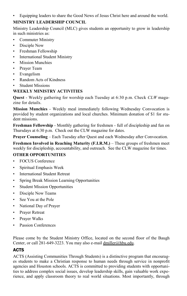• Equipping leaders to share the Good News of Jesus Christ here and around the world.

#### **MINISTRY LEADERSHIP COUNCIL**

Ministry Leadership Council (MLC) gives students an opportunity to grow in leadership in such ministries as:

- Commuter Ministry
- Disciple Now
- Freshman Fellowship
- International Student Ministry
- **Mission Munchies**
- Prayer Team
- Evangelism
- Random Acts of Kindness
- **Student Missions**

#### **WEEKLY MINISTRY ACTIVITIES**

**Quest** - Weekly gathering for worship each Tuesday at 6:30 p.m. Check *CLW* magazine for details.

**Mission Munchies** - Weekly meal immediately following Wednesday Convocation is provided by student organizations and local churches. Minimum donation of \$1 for student missions.

**Freshman Fellowship** - Monthly gathering for freshmen - full of discipleship and fun on Thursdays at 6:30 p.m. Check out the CLW magazine for dates.

**Prayer Counseling** – Each Tuesday after Quest and each Wednesday after Convocation.

**Freshmen Involved in Reaching Maturity (F.I.R.M.)** – These groups of freshmen meet weekly for discipleship, accountability, and outreach. See the CLW magazine for times.

#### **OTHER OPPORTUNITIES**

- FOCUS Conference
- Spiritual Emphasis Week
- International Student Retreat
- Spring Break Mission Learning Opportunities
- Student Mission Opportunities
- Disciple Now Teams
- See You at the Pole
- National Day of Prayer
- Prayer Retreat
- Prayer Walks
- Passion Conferences

Please come by the Student Ministry Office, located on the second floor of the Baugh Center, or call 281-649-3223. You may also e-mail dmiller@hbu.edu.

#### ACTS

ACTS (Assisting Communities Through Students) is a distinctive program that encourages students to make a Christian response to human needs through service in nonprofit agencies and Houston schools. ACTS is committed to providing students with opportunities to address complex social issues, develop leadership skills, gain valuable work experience, and apply classroom theory to real world situations. Most importantly, through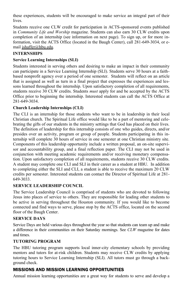these experiences, students will be encouraged to make service an integral part of their lives.

Students receive one CLW credit for participation in ACTS-sponsored events published in *Community Life and Worship* magazine. Students can also earn 30 CLW credits upon completion of an internship (see information on next page). To sign up, or for more information, visit the ACTS Office (located in the Baugh Center), call 281-649-3034, or email jshaffer@hbu.edu.

#### **INTERNSHIPS**

#### **Service Learning Internships (SLI)**

Students interested in serving others and desiring to make an impact in their community can participate in a Service Learning Internship (SLI). Students serve 30 hours at a faithbased nonprofit agency over a period of one semester. Students will reflect on an article that is assigned as well as turn in a final project that expresses the experiences and lessons learned throughout the internship. Upon satisfactory completion of all requirements, students receive 30 CLW credits. Students *must* apply for and be accepted by the ACTS Office prior to beginning the internship. Interested students can call the ACTS Office at 281-649-3034.

#### **Church Leadership Internships (CLI)**

The CLI is an internship for those students who want to be in leadership in their local Christian church. The Spiritual Life office would like to be a part of mentoring and celebrating the gifts of our students in the ministry settings that God has placed on their lives. The definition of leadership for this internship consists of one who guides, directs, and/or presides over an activity, program or group of people. Students participating in this internship will complete 30 hours of service in one semester at one Christian ministry site. Components of this leadership opportunity include a written proposal, an on-site supervisor and accountability group, and a final reflection paper. The CLI may not be used in conjunction with meeting academic requirements and/or receiving monetary compensation. Upon satisfactory completion of all requirements, students receive 30 CLW credits. A student may complete one CLI and SLI in their career as a student at HBU. In addition to completing either the SLI and CLI, a student is able to receive the maximum 20 CLW credits per semester. Interested students can contact the Director of Spiritual Life at 281- 649-3033.

#### **SERVICE LEADERSHIP COUNCIL**

The Service Leadership Council is comprised of students who are devoted to following Jesus into places of service to others. They are responsible for leading other students to be active in serving throughout the Houston community. If you would like to become connected and find ways to serve, please stop by the ACTS office, located on the second floor of the Baugh Center.

#### **SERVICE DAYS**

Service Days are held various days throughout the year so that students can team up and make a difference in their communities on their Saturday mornings. See *CLW* magazine for dates and times.

#### **TUTORING PROGRAM**

The HBU tutoring program supports local inner-city elementary schools by providing mentors and tutors for at-risk children. Students may receive CLW credits by applying tutoring hours to Service Learning Internship (SLI). All tutors must go through a background check.

### MISSIONS AND MISSION LEARNING OPPORTUNITIES

Annual mission learning opportunities are a great way for students to serve and develop a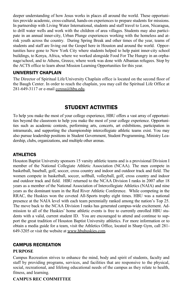deeper understanding of how Jesus works in places all around the world. These opportunities provide academic, cross-cultural, hands-on experiences to prepare students for missions. In partnership with Living Water International, students and staff travel to Leon, Nicaragua, to drill water wells and work with the children of area villages. Students may also participate in an annual inner-city, Urban Plunge experiences working with the homeless and atrisk youth across the country. During Spring Break and other times of the year, teams of students and staff are living out the Gospel here in Houston and around the world. Opportunities have gone to New York City where students helped to help paint inner-city school buildings, to Kenya, Africa, where we worked alongside Food For The Hungry in an orphanage/school, and to Athens, Greece, where work was done with Albanian refugees. Stop by the ACTS office to learn about Mission Learning Opportunities for this year.

#### UNIVERSITY CHAPLAIN

The Director of Spiritual Life/University Chaplain office is located on the second floor of the Baugh Center. In order to reach the chaplain, you may call the Spiritual Life Office at 281-649-3117 or e-mail ccross@hbu.edu.

## STUDENT ACTIVITIES

To help you make the most of your college experience, HBU offers a vast array of opportunities beyond the classroom to help you make the most of your college experience. Opportunities such as academic contests, performing arts, concerts, art exhibitions, participation in intramurals, and supporting the championship intercollegiate athletic teams exist. You may also pursue leadership positions in Student Government, Student Programming, Ministry Leadership, clubs, organizations, and multiple other arenas.

#### **ATHLETICS**

Houston Baptist University sponsors 15 varsity athletic teams and is a provisional Division I member of the National Collegiate Athletic Association (NCAA). The men compete in basketball, baseball, golf, soccer, cross country and indoor and outdoor track and field. The women compete in basketball, soccer, softball, volleyball, golf, cross country and indoor and outdoor track and field. HBU returned to the NCAA Division I ranks in 2007 after 18 years as a member of the National Association of Intercollegiate Athletics (NAIA) and nine years as the dominant team in the Red River Athletic Conference. While competing in the RRAC, the Huskies won the coveted All-Sports trophy eight times. HBU was a national presence at the NAIA level with each team perennially ranked among the nation's Top 25. The move back to the NCAA Division I ranks has generated campus-wide excitement. Admission to all of the Huskies' home athletic events is free to currently enrolled HBU students with a valid, current student ID. You are encouraged to attend and continue to support the great tradition of Houston Baptist University athletics. For more information or to obtain a media guide for a team, visit the Athletics Office, located in Sharp Gym, call 281- 649-3205 or visit the website at www.hbuhuskies.com.

#### CAMPUS RECREATION

#### **PURPOSE**

Campus Recreation strives to enhance the mind, body and spirit of students, faculty and staff by providing programs, services, and facilities that are responsive to the physical, social, recreational, and lifelong educational needs of the campus as they relate to health, fitness, and learning.

#### **CAMPUS REC COMMITTEE**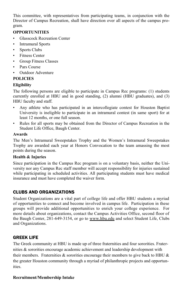This committee, with representatives from participating teams, in conjunction with the Director of Campus Recreation, shall have direction over all aspects of the campus program.

#### **OPPORTUNITIES**

- Glasscock Recreation Center
- Intramural Sports
- Sports Clubs
- **Fitness Center**
- Group Fitness Classes
- Pars Course
- Outdoor Adventure

#### **POLICIES**

#### **Eligibility**

The following persons are eligible to participate in Campus Rec programs: (1) students currently enrolled at HBU and in good standing, (2) alumni (HBU graduates), and (3) HBU faculty and staff.

- Any athlete who has participated in an intercollegiate contest for Houston Baptist University is ineligible to participate in an intramural contest (in same sport) for at least 12 months, or one full season.
- Rules for all sports may be obtained from the Director of Campus Recreation in the Student Life Office, Baugh Center.

#### **Awards**

The Men's Intramural Sweepstakes Trophy and the Women's Intramural Sweepstakes Trophy are awarded each year at Honors Convocation to the team amassing the most points during the season.

#### **Health & Injuries**

Since participation in the Campus Rec program is on a voluntary basis, neither the University nor any Campus Rec staff member will accept responsibility for injuries sustained while participating in scheduled activities. All participating students must have medical insurance and must have completed the waiver form.

#### CLUBS AND ORGANIZATIONS

Student Organizations are a vital part of college life and offer HBU students a myriad of opportunities to connect and become involved in campus life. Participation in these groups will provide additional opportunities to enrich your college experience. For more details about organizations, contact the Campus Activities Office, second floor of the Baugh Center, 281-649-3154, or go to www.hbu.edu and select Student Life, Clubs and Organizations.

#### GREEK LIFE

The Greek community at HBU is made up of three fraternities and four sororities. Fraternities & sororities encourage academic achievement and leadership development with their members. Fraternities  $\&$  sororities encourage their members to give back to HBU  $\&$ the greater Houston community through a myriad of philanthropic projects and opportunities.

#### **Recruitment/Membership Intake**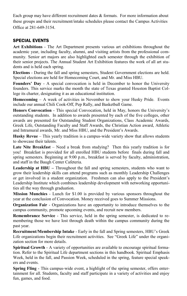Each group may have different recruitment dates & formats. For more information about these groups and their recruitment/intake schedules please contact the Campus Activities Office at 281-649-3154.

#### SPECIAL EVENTS

**Art Exhibitions** - The Art Department presents various art exhibitions throughout the academic year, including faculty, alumni, and visiting artists from the professional community. Senior art majors are also highlighted each semester through the exhibition of their senior projects. The Annual Student Art Exhibition features the work of all art students and is held each spring.

**Elections** - During the fall and spring semesters, Student Government elections are held. Special elections are held for Homecoming Court, and Mr. and Miss HBU.

**Founders' Day** - A special convocation is held in December to honor the University founders. This service marks the month the state of Texas granted Houston Baptist College its charter, designating it as an educational institution.

**Homecoming** – A week of activities in November to show your Husky Pride. Events include our annual Chili Cook-Off, Pep Rally, and Basketball Game.

**Honors Convocation** - This special Convocation, held in May, honors the University's outstanding students. In addition to awards presented by each of the five colleges, other awards are presented for Outstanding Student Organizations, Class Academic Awards, Greek Life, Outstanding Faculty and Staff Awards, the Christian Action award, Athletic and Intramural awards, Mr. and Miss HBU, and the President's Awards.

**Husky Revue** – This yearly tradition is a campus-wide variety show that allows students to showcase their talents.

**Late Nite Breakfast** – Need a break from studying? Then this yearly tradition is for you! Breakfast is provided for all enrolled HBU students before finals during fall and spring semesters. Beginning at 9:00 p.m., breakfast is served by faculty, administration, and staff in the Baugh Center Cafeteria.

**Leadership at HBU** – Throughout the fall and spring semesters, students who want to grow their leadership skills can attend programs such as monthly Leadership Challenges or get involved in a student organization. Freshmen can also apply to the President's Leadership Institute which combines leadership development with networking opportunities all the way through graduation.

**Mission Munchies** - Lunch for \$1.00 is provided by various sponsors throughout the year at the conclusion of Convocation. Money received goes to Summer Missions.

**Organization Fair** - Organizations have an opportunity to introduce themselves to the campus community, promote upcoming events, and recruit new members.

**Remembrance Service** - This service, held in the spring semester, is dedicated to remembering those we have lost through death within the campus community during the past year.

**Recruitment/Membership Intake** - Early in the fall and Spring semesters, HBU's Greek Life organizations begin their recruitment activities. See "Greek Life" under the organization section for more details.

**Spiritual Growth** - A variety of opportunities are available to encourage spiritual formation. Refer to the Spiritual Life department sections in this handbook. Spiritual Emphasis Week, held in the fall, and Passion Week, scheduled in the spring, feature special speakers and events.

**Spring Fling** - This campus-wide event, a highlight of the spring semester, offers entertainment for all. Students, faculty and staff participate in a variety of activities and enjoy fun, games, and food.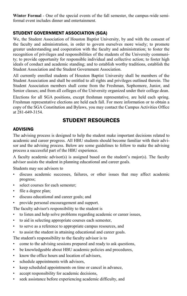**Winter Formal** - One of the special events of the fall semester, the campus-wide semiformal event includes dinner and entertainment.

#### STUDENT GOVERNMENT ASSOCIATION (SGA)

We, the Student Association of Houston Baptist University, by and with the consent of the faculty and administration, in order to govern ourselves more wisely; to promote greater understanding and cooperation with the faculty and administration; to foster the recognition of privileges and responsibilities of the students of the University community; to provide opportunity for responsible individual and collective action; to foster high ideals of conduct and academic standing; and to establish worthy traditions, establish the Student Association and the Student Government Association.

All currently enrolled students of Houston Baptist University shall be members of the Student Association and shall be entitled to all rights and privileges outlined therein. The Student Association members shall come from the Freshman, Sophomore, Junior, and Senior classes; and from all colleges of the University organized under their college dean.

Elections for all SGA positions, except freshman representative, are held each spring. Freshman representative elections are held each fall. For more information or to obtain a copy of the SGA Constitution and Bylaws, you may contact the Campus Activities Office at 281-649-3154.

## STUDENT RESOURCES

#### ADVISING

The advising process is designed to help the student make important decisions related to academic and career progress. All HBU students should become familiar with their advisor and the advising process. Below are some guidelines to follow to make the advising process a successful part of the HBU experience.

A faculty academic advisor(s) is assigned based on the student's major(s). The faculty advisor assists the student in planning educational and career goals.

Students may see advisors to

- discuss academic successes, failures, or other issues that may affect academic progress;
- select courses for each semester;
- file a degree plan;
- discuss educational and career goals; and
- provide personal encouragement and support.

The faculty advisor's responsibility to the student is

- to listen and help solve problems regarding academic or career issues,
- to aid in selecting appropriate courses each semester,
- to serve as a reference to appropriate campus resources, and
- to assist the student in attaining educational and career goals.

The student's responsibility to the faculty advisor is to

- come to the advising sessions prepared and ready to ask questions,
- be knowledgeable about HBU academic policies and procedures,
- know the office hours and location of advisors,
- schedule appointments with advisors,
- keep scheduled appointments on time or cancel in advance,
- accept responsibility for academic decisions,
- seek assistance before experiencing academic difficulty, and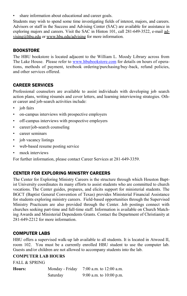share information about educational and career goals.

Students may wish to spend some time investigating fields of interest, majors, and careers. Advisors or staff in the Success and Advising Center (SAC) are available for assistance in exploring majors and careers. Visit the SAC in Hinton 101, call 281-649-3522, e-mail advising@hbu.edu or www.hbu.edu/advising for more information.

#### **BOOKSTORE**

The HBU bookstore is located adjacent to the William L. Moody Library across from The Lake House. Please refer to [www.hbubookstore.com](http://www.hbubookstore.com/) for details on hours of operations, methods of payment, textbook ordering/purchasing/buy-back, refund policies, and other services offered.

#### CAREER SERVICES

Professional counselors are available to assist individuals with developing job search action plans, writing résumés and cover letters, and learning interviewing strategies. Other career and job-search activities include:

- job fairs
- on-campus interviews with prospective employers
- off-campus interviews with prospective employers
- career/job-search counseling
- career seminars
- job vacancy listings
- web-based resume posting service
- mock interviews

For further information, please contact Career Services at 281-649-3359.

#### CENTER FOR EXPLORING MINISTRY CAREERS

The Center for Exploring Ministry Careers is the structure through which Houston Baptist University coordinates its many efforts to assist students who are committed to church vocations. The Center guides, prepares, and elicits support for ministerial students. The BGCT (Baptist General Convention of Texas) provides Ministerial Financial Assistance for students exploring ministry careers. Field-based opportunities through the Supervised Ministry Practicum are also provided through the Center. Job postings connect with churches seeking part-time and full-time staff. Information is available on Church Matching Awards and Ministerial Dependents Grants. Contact the Department of Christianity at 281-649-2212 for more information.

#### COMPUTER LABS

HBU offers a supervised walk-up lab available to all students. It is located in Atwood II, room 102. You must be a currently enrolled HBU student to use the computer lab. Guests and/or children are not allowed to accompany students into the lab.

#### **COMPUTER LAB HOURS**

FALL & SPRING

| Hours: | Monday - Friday | 7:00 a.m. to $12:00$ a.m. |
|--------|-----------------|---------------------------|
|        | Saturday        | 9:00 a.m. to $10:00$ p.m. |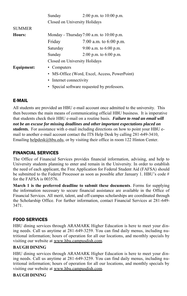|               | Sunday                                        | 2:00 p.m. to $10:00$ p.m.     |
|---------------|-----------------------------------------------|-------------------------------|
|               |                                               | Closed on University Holidays |
| <b>SUMMER</b> |                                               |                               |
| Hours:        | Monday - Thursday $7:00$ a.m. to $10:00$ p.m. |                               |
|               | Friday                                        | 7:00 a.m. to $6:00$ p.m.      |
|               | Saturday                                      | 9:00 a.m. to $6:00$ p.m.      |
|               | Sunday                                        | $2:00$ p.m. to 6:00 p.m.      |
|               |                                               | Closed on University Holidays |
| Equipment:    | • Computers                                   |                               |
|               | • MS-Office (Word, Excel, Access, PowerPoint) |                               |
|               | • Internet connectivity                       |                               |

• Special software requested by professors.

#### E-MAIL

All students are provided an HBU e-mail account once admitted to the university. This then becomes the main means of communicating official HBU business. It is imperative that students check their HBU e-mail on a routine basis. *Failure to read an email will not be an excuse for missing deadlines and other important expectations placed on students.* For assistance with e-mail including directions on how to point your HBU email to another e-mail account contact the ITS Help Desk by calling 281-649-3410, Emailing [helpdesk@hbu.edu,](mailto:helpdesk@hbu.edu) or by visiting their office in room 122 Hinton Center.

#### FINANCIAL SERVICES

The Office of Financial Services provides financial information, advising, and help to University students planning to enter and remain in the University. In order to establish the need of each applicant, the Free Application for Federal Student Aid (FAFSA) should be submitted to the Federal Processor as soon as possible after January 1. HBU's code # for the FAFSA is 003576.

**March 1 is the preferred deadline to submit these documents**. Forms for supplying the information necessary to secure financial assistance are available in the Office of Financial Services. All merit, talent, and off-campus scholarships are coordinated through the Scholarship Office. For further information, contact Financial Services at 281-649- 3471.

#### FOOD SERVICES

HBU dining services through ARAMARK Higher Education is here to meet your dining needs. Call us anytime at 281-649-3259. You can find daily menus, including nutritional information; hours of operation for all our locations, and monthly specials by visiting our website at www.hbu.campusdish.com*.* 

#### **BAUGH DINING**

HBU dining services through ARAMARK Higher Education is here to meet your dining needs. Call us anytime at 281-649-3259. You can find daily menus, including nutritional information; hours of operation for all our locations, and monthly specials by visiting our website at www.hbu.campusdish.com*.* 

#### **BAUGH DINING**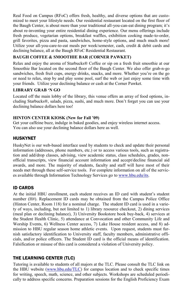Real Food on Campus (RFoC) offers fresh, healthy, and diverse options that are customized to meet your lifestyle needs. Our residential restaurant located on the first floor of the Baugh Center, is about more than your traditional all-you-can-eat dining program; it's about re-inventing your entire residential dining experience. Our menu offerings include fresh produce, vegetarian options, breakfast waffles, exhibition cooking made-to-order, grill favorites, pizza and pasta, sandwiches, home-style options, and much much more! Utilize your all-you-care-to-eat meals per week/semester, cash, credit  $\&$  debit cards and declining balance, all at the Baugh RFoC Residential Restaurant.

#### **BAUGH COFFEE & SMOOTHIE BAR (CORNER PAWKET)**

Relax and enjoy the aroma of Starbucks® Coffee or sip on a fresh fruit smoothie at our Smoothie Bar located on the second floor of the Baugh Center. We also offer grab-n-go sandwiches, fresh fruit cups, energy drinks, snacks, and more. Whether you're on the go or need to relax, stop by and play some pool, surf the web or just enjoy some time with your friends. Utilize your declining balance or cash at the Corner Pawket.

#### **LIBRARY GRAB 'N GO**

Located off the main lobby of the library, this venue offers an array of food options, including Starbucks®, salads, pizza, sushi, and much more. Don't forget you can use your declining balance dollars here too!

#### **HINTON CENTER KIOSK (New for Fall '09)**

Get your caffeine buzz, indulge in baked goodies, and enjoy wireless internet access. You can also use your declining balance dollars here as well.

#### HUSKYNET

HuskyNet is our web-based interface used by students to check and update their personal information (addresses, phone numbers, etc.) or to access various tools, such as registration and add/drop classes, advising, view academic status, class schedules, grades, nonofficial transcripts, view financial account information and accept/decline financial aid awards, and more. The majority of students, faculty and staff will have most of their needs met through these self-service tools. For complete information on all of the services available through Information Technology Services go t[o www.hbu.edu/its.](http://www.hbu.edu/its)

#### ID CARDS

At the initial HBU enrollment, each student receives an ID card with student's student number (H#). Replacement ID cards may be obtained from the Campus Police Office (Hinton Center, Room 118) for a nominal charge. The student ID card is used in a variety of ways, including, but not limited to 1) library resource checkout, 2) dining services (meal plan or declining balance), 3) University Bookstore book buy-back, 4) services at the Student Health Clinic, 5) attendance at Convocation and other Community Life and Worship Events, 6) Wellness Center access, 7) Lake House resident access, and 8) admission to HBU regular season home athletic events. Upon request, students must furnish satisfactory identification to University staff, faculty members, administrative officials, and/or police officers. The Student ID card is the official means of identification. Falsification or misuse of this card is considered a violation of University policy.

#### THE LEARNING CENTER (TLC)

Tutoring is available to students of all majors at the TLC. Please consult the TLC link on the HBU website [\(www.hbu.edu/TLC\)](http://www.hbu.edu/TLC) for campus location and to check specific times for writing, speech, math, science, and other subjects. Workshops are scheduled periodically to address specific concerns. Preparation sessions for the English Proficiency Exam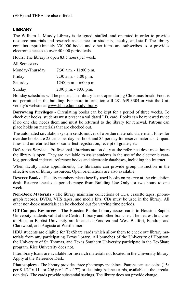#### LIBRARY

The William L. Moody Library is designed, staffed, and operated in order to provide resource materials and research assistance for students, faculty, and staff. The library contains approximately 330,000 books and other items and subscribes to or provides electronic access to over 40,000 periodicals.

Hours: The library is open 83.5 hours per week.

#### **All Semesters**

| Monday-Thursday | 7:30 a.m. $-11:00$ p.m.   |
|-----------------|---------------------------|
| Friday          | 7:30 a.m. $-5:00$ p.m.    |
| Saturday        | $12:00$ p.m. $-6:00$ p.m. |
| Sunday          | $2:00$ p.m. $-8:00$ p.m.  |

Holiday schedules will be posted. The library is not open during Christmas break. Food is not permitted in the building. For more information call 281-649-3304 or visit the University's website at www.hbu.edu/moodylibrary.

**Borrowing Privileges** - Circulating books can be kept for a period of three weeks. To check out books, students must present a validated I.D. card. Books can be renewed twice if no one else needs them and must be returned to the library for renewal. Patrons can place holds on materials that are checked out.

The automated circulation system sends notices of overdue materials via e-mail. Fines for overdue books are 25 cents per day per book and \$5 per day for reserve materials. Unpaid fines and unreturned books can affect registration, receipt of grades, etc.

**Reference Service** - Professional librarians are on duty at the reference desk most hours the library is open. They are available to assist students in the use of the electronic catalog, periodical indexes, reference books and electronic databases, including the Internet.

When faculty make appointments, the librarians can provide group instruction in the effective use of library resources. Open orientations are also available.

**Reserve Books** - Faculty members place heavily-used books on reserve at the circulation desk. Reserve check-out periods range from Building Use Only for two hours to one week.

**Non-Book Materials** - The library maintains collections of CDs, cassette tapes, phonograph records, DVDs, VHS tapes, and media kits. CDs must be used in the library. All other non-book materials can be checked out for varying time periods.

**Off-Campus Resources** - The Houston Public Library issues cards to Houston Baptist University students valid at the Central Library and other branches. The nearest branches to Houston Baptist University are located at Fondren and West Bellfort, Fondren and Clarewood, and Augusta at Westheimer.

HBU students are eligible for TexShare cards which allow them to check out library materials from any participating Texas library. All branches of the University of Houston, the University of St. Thomas, and Texas Southern University participate in the TexShare program. Rice University does not.

Interlibrary loans are available for research materials not located in the University library. Apply at the Reference Desk.

**Photocopiers** - The library provides three photocopy machines. Patrons can use coins  $(15¢$ per 8 1/2" x 11" or 20¢ per 11" x 17") or declining balance cards, available at the circulation desk. The cards provide substantial savings. The library does not provide change.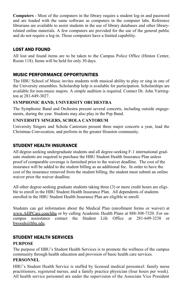**Computers** - Most of the computers in the library require a student log-in and password and are loaded with the same software as computers in the computer labs. Reference librarians are available to assist students in the use of library databases and other libraryrelated online materials. A few computers are provided for the use of the general public and do not require a log-in. Those computers have a limited capability.

#### LOST AND FOUND

All lost and found items are to be taken to the Campus Police Office (Hinton Center, Room 118). Items will be held for only 30 days.

#### MUSIC PERFORMANCE OPPORTUNITIES

The HBU School of Music invites students with musical ability to play or sing in one of the University ensembles. Scholarship help is available for participation. Scholarships are available for non-music majors. A simple audition is required. Contact Dr. John Yarrington at 281-649-3027.

#### **SYMPHONIC BAND, UNIVERSITY ORCHESTRA**

The Symphonic Band and Orchestra present several concerts, including outside engagements, during the year. Students may also play in the Pep Band.

#### **UNIVERSITY SINGERS, SCHOLA CANTORUM**

University Singers and Schola Cantorum present three major concerts a year, lead the Christmas Convocation, and perform in the greater Houston community.

#### STUDENT HEALTH INSURANCE

All degree-seeking undergraduate students and all degree-seeking F-1 international graduate students are required to purchase the HBU Student Health Insurance Plan unless proof of comparable coverage is furnished prior to the waiver deadline. The cost of the insurance will be added to the student billing as an additional fee. In order to have the cost of the insurance removed from the student billing, the student must submit an online waiver prior the waiver deadline.

All other degree-seeking graduate students taking three (3) or more credit hours are eligible to enroll in the HBU Student Health Insurance Plan. All dependents of students enrolled in the HBU Student Health Insurance Plan are eligible to enroll.

Students can get information about the Medical Plan (enrollment forms or waiver) at www.AHPCare.com/hbu or by calling Academic Health Plans at 888-308-7320. For oncampus assisstance contact the Student Life Office at 281-649-3238 or bwoods@hbu.edu.

#### STUDENT HEALTH SERVICES

#### **PURPOSE**

The purpose of HBU's Student Health Services is to promote the wellness of the campus community through health education and provision of basic health care services.

#### **PERSONNEL**

HBU's Student Health Service is staffed by licensed medical personnel: family nurse practitioners, registered nurses, and a family practice physician (four hours per week). All health service personnel are under the supervision of the Associate Vice President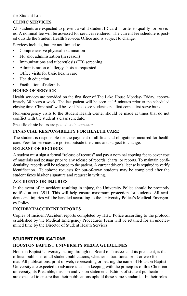#### for Student Life.

#### **CLINIC SERVICES**

All students are expected to present a valid student ID card in order to qualify for services. A nominal fee will be assessed for services rendered. The current fee schedule is posted outside the Student Health Services Office and is subject to change.

Services include, but are not limited to:

- Comprehensive physical examination
- Flu shot administration (in season)
- Immunizations and tuberculosis (TB) screening
- Administration of allergy shots as requested
- Office visits for basic health care
- Health education
- Facilitation of referrals

#### **HOURS OF SERVICE**

Health services are provided on the first floor of The Lake House Monday- Friday, approximately 30 hours a week. The last patient will be seen at 15 minutes prior to the scheduled closing time. Clinic staff will be available to see students on a first-come, first-serve basis.

Non-emergency visits to the Student Health Center should be made at times that do not conflict with the student's class schedule.

Specific clinic hours are posted each semester.

#### **FINANCIAL RESPONSIBILITY FOR HEALTH CARE**

The student is responsible for the payment of all financial obligations incurred for health care. Fees for services are posted outside the clinic and subject to change.

#### **RELEASE OF RECORDS**

A student must sign a formal "release of records" and pay a nominal copying fee to cover cost of materials and postage prior to any release of records, charts, or reports. To maintain confidentiality, records will be released to the patient. A current driver's license is required to verify identification. Telephone requests for out-of-town students may be completed after the student faxes his/her signature and request in writing.

#### **ACCIDENTS OR INJURIES**

In the event of an accident resulting in injury, the University Police should be promptly notified at ext. 3911. This will help ensure maximum protection for students. All accidents and injuries will be handled according to the University Police's Medical Emergency Policy.

#### **INCIDENT/ACCIDENT REPORTS**

Copies of Incident/Accident reports completed by HBU Police according to the protocol established by the Medical Emergency Procedures Team will be retained for an undetermined time by the Director of Student Health Services.

#### STUDENT PUBLICATIONS

#### **HOUSTON BAPTIST UNIVERSITY MEDIA GUIDELINES**

Houston Baptist University, acting through its Board of Trustees and its president, is the official publisher of all student publications, whether in traditional print or web format. All publications, print or web, representing or bearing the name of Houston Baptist University are expected to advance ideals in keeping with the principles of this Christian university, its Preamble, mission and vision statement. Editors of student publications are expected to ensure that their publications uphold these same standards. In their roles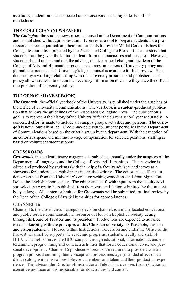as editors, students are also expected to exercise good taste, high ideals and fairmindedness.

#### **THE COLLEGIAN (NEWSPAPER)**

*The Collegian*, the student newspaper, is housed in the Department of Communications and is published without prior restraint. It serves as a tool to prepare students for a professional career in journalism; therefore, students follow the Model Code of Ethics for Collegiate Journalists prepared by the Associated Collegiate Press. It is understood that students must be given the latitude to learn from their successes and mistakes. However, students should understand that the advisor, the department chair, and the dean of the College of Arts and Humanities serve as resources on matters of University policy and journalistic practice. The University's legal counsel is available for libel review. Students enjoy a working relationship with the University president and publisher. This policy allows students to obtain the necessary information to ensure they have the official interpretation of University policy.

#### **THE ORNOGAH (YEARBOOK)**

*The Ornogah*, the official yearbook of the University, is published under the auspices of the Office of University Communications. The yearbook is a student-produced publication that follows the guidelines of the Associated Collegiate Press. The publication's goal is to represent the history of the University for the current school year accurately. A concerted effort is made to include all campus groups, activities and persons. *The Ornogah* is not a journalism lab. Credit may be given for student portfolios in the Department of Communications based on the criteria set up by the department. With the exception of an editorial stipend and minimum-wage compensation for selected positions, staffing is based on volunteer student support.

#### **CROSSROADS**

*Crossroads,* the student literary magazine, is published annually under the auspices of the Department of Languages and the College of Arts and Humanities. The magazine is edited and produced by students (with the help of a faculty advisor) and serves as a showcase for student accomplishment in creative writing. The editor and staff are students recruited from the University's creative writing workshops and from Sigma Tau Delta, the English honor society. The editor and staff, with input from the faculty advisor, select the work to be published from the poetry and fiction submitted by the student body at large. All content submitted for *Crossroads* will be submitted for final review by the Dean of the College of Arts & Humanities for appropriateness.

#### **CHANNEL 16**

Channel 16, the closed circuit campus television channel, is a multi-faceted educational and public service communications resource of Houston Baptist University acting through its Board of Trustees and its president. Productions are expected to advance ideals in keeping with the principles of this Christian university, its Preamble, mission and vision statement. Housed within Instructional Television and under the Office of the Provost, Channel 16 supports the academic programs, students, faculty and staff of HBU. Channel 16 serves the HBU campus through educational, informational, and entertainment programming and outreach activities that foster educational, civic, and personal development. Channel 16 producers/directors are required to provide a written program proposal outlining their concept and process message (intended effect on audience) along with a list of possible crew members and talent and their production experience. The advisor, the Director of Instructional Television, oversees the production as executive producer and is responsible for its activities and content.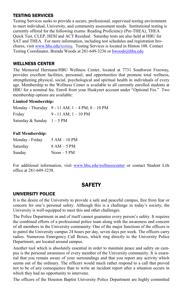#### TESTING SERVICES

Testing Services seeks to provide a secure, professional, supervised testing environment to meet individual, University, and community assessment needs. Institutional testing is currently offered for the following exams: Reading Proficiency (Pre-THEA), THEA Quick Test, CLEP, HESI and ACT Residual. Saturday tests are also held at HBU for SAT and THEA. For more information, including test schedules and registration brochures, visi[t www.hbu.edu/testing.](http://www.hbu.edu/testing) Testing Services is located in Hinton 108. Contact Testing Coordinator, Brenda Woods at 281-649-3236 or [bwoods@hbu.edu](mailto:bwoods@hbu.edu)

#### WELLNESS CENTER

The Memorial Hermann/HBU Wellness Center, located at 7731 Southwest Freeway, provides excellent facilities, personnel, and opportunities that promote total wellness, strengthening physical, social, psychological and spiritual health in individuals of every age. Membership to the Wellness Center is available to all currently enrolled students at HBU for a nominal fee. Enroll from your Huskynet account under "Optional Fes." Two membership options are available:

#### **Limited Membership:**

|                            | Monday - Thursday 9 - 11 AM; $1 - 4$ PM; $8 - 10$ PM |
|----------------------------|------------------------------------------------------|
| Friday                     | $9 - 11$ AM; $1 - 10$ PM                             |
| Saturday & Sunday $1-5$ PM |                                                      |

#### **Full Membership:**

| Monday - Friday | $5 AM - 10 PM$ |
|-----------------|----------------|
| Saturday        | $8 AM - 5 PM$  |
| Sunday          | $Noon - 5 PM$  |

For additional information, visit [www.hbu.edu/wellnesscenter](http://www.hbu.edu/wellnesscenter) or contact Student Life office at 281-649-3238.

## **SAFFTY**

#### UNIVERSITY POLICE

It is the desire of the University to provide a safe and peaceful campus, free from fear or concern for one's personal safety. Although this is a challenge in today's society, the University is well-equipped to meet this and other challenges.

The Police Department in and of itself cannot guarantee every person's safety. It requires the combined efforts of a professional police team along with the awareness and concern of all members in the University community. One of the major functions of the officers is to patrol the University campus 24 hours per day, seven days per week. The officers carry radios. Numerous Emergency Call Boxes, which ring directly to the University Police Department, are located around campus.

Another tool which is absolutely essential in order to maintain peace and safety on campus is the personal awareness of every member of the University community. It is essential that you remain aware of your surroundings and that you report any activity which seems out of the ordinary. The officers would much rather respond to a call that proved not to be of any consequence than to write an incident report after a situation occurs in which they had no opportunity to intervene.

The officers of the Houston Baptist University Police Department are highly committed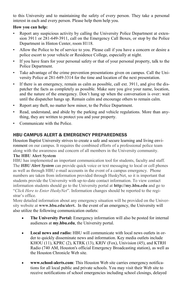to this University and to maintaining the safety of every person. They take a personal interest in each and every person. Please help them help you.

#### **How you can help:**

- Report any suspicious activity by calling the University Police Department at extension 3911 or 281-649-3911, call on the Emergency Call Boxes, or stop by the Police Department in Hinton Center, room H118.
- Allow the Police to be of service to you. Please call if you have a concern or desire a police escort to your vehicle or Residence College, especially at night.
- If you have fears for your personal safety or that of your personal property, talk to the Police Department.
- Take advantage of the crime prevention presentations given on campus. Call the University Police at 281-649-3314 for the time and location of the next presentation.
- If there is an emergency, remain as calm as possible, call ext. 3911, and give the dispatcher the facts as completely as possible. Make sure you give your name, location, and the nature of the emergency. Don't hang up when the conversation is over: wait until the dispatcher hangs up. Remain calm and encourage others to remain calm.
- Report any theft, no matter how minor, to the Police Department.
- Read, understand, and abide by the parking and vehicle regulations. More than anything, they are written to protect you and your property.
- Communicate with the Police.

#### HBU CAMPUS ALERT & EMERGENCY PREPAREDNESS

Houston Baptist University strives to create a safe and secure learning and living environment on our campus. It requires the combined efforts of a professional police team along with the awareness and concern of all members in the University community. **The HBU Alert System** 

HBU has implemented an important communication tool for students, faculty and staff. The *HBU Alert System* can provide quick voice or text messaging to local or cell phones as well as through HBU e-mail accounts in the event of a campus emergency. Phone numbers are taken from information provided through HuskyNet, so it is important that students provide the University with up-to-date contact information. To view contact information students should go to the University portal at **http://my.hbu.edu** and go to "*Click Here to Enter HuskyNet*". Information changes should be reported to the registrar's office.

More detailed information about any emergency situation will be provided on the University website at **www.hbu.edu/alert.** In the event of an emergency, the University will also utilize the following communication outlets:

- **The University Portal:** Emergency information will also be posted for internal audiences at **my.hbu.edu**, the University portal.
- **Local news and radio:** HBU will communicate with local news outlets in order to quickly disseminate news and information. Key media outlets include KHOU (11), KPRC (2), KTRK (13), KRIV (Fox), Univision (45), and KTRH Radio (740 AM, Houston's official Emergency Broadcasting station), as well as the Houston Chronicle Web site.
- **www.school-alerts.com**: This Houston Web site carries emergency notifications for all local public and private schools. You may visit their Web site to receive notifications of school emergencies including school closings, delayed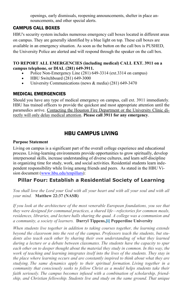openings, early dismissals, reopening announcements, shelter in place announcements, and other special alerts.

#### CAMPUS CALL BOXES

HBU's security system includes numerous emergency call boxes located in different areas on campus. They are generally identified by a blue light on top. These call boxes are available in an emergency situation. As soon as the button on the call box is PUSHED, the University Police are alerted and will respond through the speaker on the call box.

#### **TO REPORT ALL EMERGENCIES (including medical) CALL EXT. 3911 on a campus telephone, or DIAL (281) 649-3911.**

- Police Non-Emergency Line (281) 649-3314 (ext.3314 on campus)
- HBU Switchboard (281) 649-3000
- University Communications (news  $&$  media) (281) 649-3470

#### MEDICAL EMERGENCIES

Should you have any type of medical emergency on campus, call ext. 3911 immediately. HBU has trained officers to provide the quickest and most appropriate attention until the paramedics arrive. Contacting the Houston Fire Department or the University Clinic directly will only delay medical attention. **Please call 3911 for any emergency**.

## HBU CAMPUS LIVING

#### **Purpose Statement**

Living on campus is a significant part of the overall college experience and educational process. Living-learning environments provide opportunities to grow spiritually, develop interpersonal skills, increase understanding of diverse cultures, and learn self-discipline in organizing time for study, work, and social activities. Residential students learn independent responsibility while living among friends and peers. As stated in the HBU Vision document [\(www.hbu.edu/tenpillars\)](http://www.hbu.edu/tenpillars):

## **Pillar Four: Establish a Residential Society of Learning**

You shall love the Lord your God with all your heart and with all your soul and with all *your mind.* **Matthew 22:37 (NASB)** 

*If you look at the architecture of the most venerable European foundations, you see that they were designed for communal practices, a shared life—refectories for common meals, residences, libraries, and lecture halls sharing the quad. A college was a communion and a community, a society of learners.* **Darryl Tippens[,\[i\] P](http://www.hbu.edu/hbu/Pillar_IV_A_Residential_Society.asp?SnID=2102695250#pepperdine)epperdine University**

*When students live together in addition to taking courses together, the learning extends beyond the classroom into the rest of the campus. Professors teach the students, but stu*dents also teach each other by sharing their own understanding of what they learned *during a lecture or a debate between classmates. The students have the capacity to spur*  each other on to deeper thought about the material they study in common. In this way, the *work of teaching and learning integrates itself into the lives of the students. They stay in the place where learning occurs and are constantly inspired to think about what they are studying. The same dynamics apply to their spiritual formation. Living together in a community that consciously seeks to follow Christ as a model helps students take their faith seriously. The campus becomes infused with a combination of scholarship, friendship, and Christian fellowship. Students live and study on the same ground. That unique*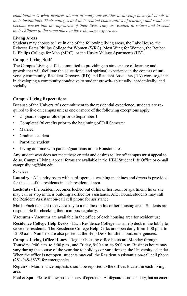*combination is what inspires alumni of many universities to develop powerful bonds to their institutions. Their colleges and their related communities of learning and residence become woven into the tapestries of their lives. They are excited to return and to send their children to the same place to have the same experience* 

#### **Living Areas**

Students may choose to live in one of the following living areas, the Lake House, the Rebecca Bates Philips College for Women (WRC), Mest Wing for Women, the Reuben L. Philips College for Men (MRC), or the Husky Village Apartments (HV).

#### **Campus Living Staff**

The Campus Living staff is committed to providing an atmosphere of learning and growth that will facilitate the educational and spiritual experience in the context of university community. Resident Directors (RD) and Resident Assistants (RA) work together in developing a community conducive to student growth- spiritually, academically, and socially.

#### **Campus Living Expectations**

Because of the University's commitment to the residential experience, students are required to live on campus unless one or more of the following exceptions apply:

- 21 years of age or older prior to September 1
- Completed 96 credits prior to the beginning of Fall Semester
- Married
- Graduate student
- Part-time student
- Living at home with parents/guardians in the Houston area

Any student who does not meet these criteria and desires to live off campus must appeal to do so. Campus Living Appeal forms are available in the HBU Student Life Office or e-mail campusliving@hbu.edu.

#### **Services**

**Laundry** - A laundry room with card-operated washing machines and dryers is provided for the use of the residents in each residential area.

**Lockouts** - If a resident becomes locked out of his or her room or apartment, he or she may call or stop in their building's office for assistance. After hours, students may call the Resident Assistant on-call cell phone for assistance.

**Mail** - Each resident receives a key to a mailbox in his or her housing area. Students are responsible for checking their mailbox regularly.

**Vacuums** - Vacuums are available in the office of each housing area for resident use.

**Residence College Help Desks** - Each Residence College has a help desk in the lobby to serve the residents. The Residence College Help Desks are open daily from 1:00 p.m. to 12:00 a.m. Numbers are also posted at the Help Desk for after-hours emergencies.

**Campus Living Office Hours** - Regular housing office hours are Monday through Thursday, 9:00 a.m. to 6:00 p.m., and Friday, 9:00 a.m. to 5:00 p.m. Business hours may vary during the course of the year due to holidays or variations in the University calendar. When the office is not open, students may call the Resident Assistant's on-call cell phone (281-948-8837) for emergencies.

**Repairs** - Maintenance requests should be reported to the offices located in each living area.

**Pool & Spa** - Please follow posted hours of operation. A lifeguard is not on duty, but an emer-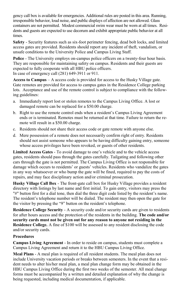gency call box is available for emergencies. Additional rules are posted in this area. Running, irresponsible behavior, loud noise, and public displays of affection are not allowed. Glass containers are not permitted. Modest commercial swim wear must be worn at all times. Residents and guests are expected to use decorum and exhibit appropriate public behavior at all times.

**Safety** - Security features such as six-foot perimeter fencing, dead bolt locks, and limited access gates are provided. Residents should report any incident of theft, vandalism, or unsafe conditions to the University Police and Campus Living Staff.

**Police** - The University employs on-campus police officers on a twenty-four hour basis. They are responsible for maintaining safety on campus. Residents and their guests are expected to fully cooperate with all HBU police officers. In case of emergency call (281) 649-3911 or 911.

**Access to Campus** – A access code is provided for access to the Husky Village gate. Gate remotes are provided for access to campus gates in the Residence College parking lots. Acceptance and use of the remote control is subject to compliance with the following guidelines:

- a. Immediately report lost or stolen remotes to the Campus Living Office. A lost or damaged remote can be replaced for a \$50.00 charge.
- b. Right to use the remote control ends when a resident's Campus Living Agreement ends or is terminated. Remotes must be returned at that time. Failure to return the remote will result in a \$50.00 charge.
- c. Residents should not share their access code or gate remote with anyone else.
- d. Mere possession of a remote does not necessarily confirm right of entry. Residents should not assist someone who appears to be having difficulty gaining entry, someone whose access privileges have been revoked, or guests of other residents.

**Limited Access Gates** - To avoid damage to one's vehicle and to the vehicle access gates, residents should pass through the gates carefully. Tailgating and following other cars through the gate is not permitted. The Campus Living Office is not responsible for damage which occurs to residents' or guests' vehicles. Residents who vandalize the gates in any way whatsoever or who bump the gate will be fined, required to pay the costs of repairs, and may face disciplinary action and/or criminal prosecution.

**Husky Village Call Box** - The front-gate call box for Husky Village provides a resident directory with listings by last name and first initial. To gain entry, visitors may press the "#" button first for a dial tone, then dial the three digit code listed by the resident's name. The resident's telephone number will be dialed. The resident may then open the gate for the visitor by pressing the "9" button on the resident's telephone.

**Residence College Security** - A security code and/or security cards are given to residents for after hours access and the protection of the residents in the building. **The code and/or security cards must not be given out for any reason to anyone not residing in the Residence College.** A fine of \$100 will be assessed to any resident disclosing the code and/or security cards.

#### **Procedures**

**Campus Living Agreement** - In order to reside on campus, students must complete a Campus Living Agreement and return it to the HBU Campus Living Office.

**Meal Plans** - A meal plan is required of all resident students. The meal plan does not include University vacation periods or breaks between semesters. In the event that a resident needs to alter his/her meal plan, a meal plan change form may be obtained in the HBU Campus Living Office during the first two weeks of the semester. All meal change forms must be accompanied by a written and detailed explanation of why the change is being requested, including medical documentation, if applicable.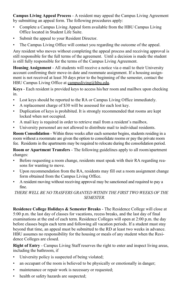**Campus Living Appeal Process** - A resident may appeal the Campus Living Agreement by submitting an appeal form. The following procedures apply:

- Complete a Campus Living Appeal form available from the HBU Campus Living Office located in Student Life Suite.
- Submit the appeal to your Resident Director.
- The Campus Living Office will contact you regarding the outcome of the appeal.

Any resident who moves without completing the appeal process and receiving approval is still responsible for the full terms of the agreement. Until a decision is made the student is still fully responsible for the terms of the Campus Living Agreement.

**Housing Assignment** - All students will receive a notice via e-mail to their University account confirming their move-in date and roommate assignment. If a housing assignment is not received at least 30 days prior to the beginning of the semester, contact the HBU Campus Living Office at campusliving@hbu.edu.

**Keys** - Each resident is provided keys to access his/her room and mailbox upon checking in.

- Lost keys should be reported to the RA or Campus Living Office immediately.
- A replacement charge of \$30 will be assessed for each lost key.
- Duplication of keys is prohibited. It is strongly recommended that rooms are kept locked when not occupied.
- A mail key is required in order to retrieve mail from a resident's mailbox.
- University personnel are not allowed to distribute mail to individual residents.

**Room Consolidation** - Within three weeks after each semester begins, students residing in a room without a roommate are given the option to consolidate rooms or pay the private room fee. Residents in the apartments may be required to relocate during the consolidation period.

**Room or Apartment Transfers** - The following guidelines apply to all room/apartment changes:

- Before requesting a room change, residents must speak with their RA regarding reasons for wanting to move.
- Upon recommendation from the RA, residents may fill out a room assignment change form obtained from the Campus Living Office.
- A resident moving without receiving approval may be sanctioned and required to pay a fine.

*THERE WELL BE NO TRASFERS GRANTED WITHIN THE FIRST TWO WEEKS OF THE SEMESTER.* 

**Residence College Holidays & Semester Breaks** - The Residence College will close at 5:00 p.m. the last day of classes for vacations, recess breaks, and the last day of final examinations at the end of each term. Residence Colleges will open at 2:00 p.m. the day before classes begin each term and following all vacation periods. If a student must stay beyond that time, an appeal must be submitted to the RD at least two weeks in advance. HBU assumes no responsibility for the housing or meals of any student when the Residence Colleges are closed.

**Right of Entry** - Campus Living Staff reserves the right to enter and inspect living areas, including the bathroom, if

- University policy is suspected of being violated;
- an occupant of the room is believed to be physically or emotionally in danger;
- maintenance or repair work is necessary or requested;
- health or safety hazards are suspected;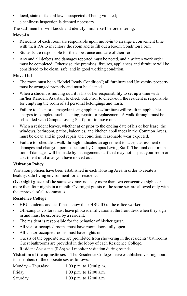- local, state or federal law is suspected of being violated;
- cleanliness inspection is deemed necessary.

The staff member will knock and identify him/herself before entering.

#### **Move-In**

- Residents of each room are responsible upon move-in to arrange a convenient time with their RA to inventory the room and to fill out a Room Condition Form.
- Students are responsible for the appearance and care of their room.
- Any and all defects and damages reported must be noted, and a written work order must be completed. Otherwise, the premises, fixtures, appliances and furniture will be considered to be clean, safe, and in good working condition.

#### **Move-Out**

- The room must be in "Model Ready Condition"; all furniture and University property must be arranged properly and must be cleaned.
- When a student is moving out, it is his or her responsibility to set up a time with his/her Resident Assistant to check out. Prior to check-out, the resident is responsible for emptying the room of all personal belongings and trash.
- Failure to clean or damaged/missing appliances/furniture will result in applicable charges to complete such cleaning, repair, or replacement. A walk-through must be scheduled with Campus Living Staff prior to move out.
- When a resident leaves, whether at or prior to the ending date of his or her lease, the windows, bathroom, patios, balconies, and kitchen appliances in the Common Areas, must be clean and in good repair and condition, reasonable wear expected.
- Failure to schedule a walk-through indicates an agreement to accept assessment of damages and charges upon inspection by Campus Living Staff. The final determination of damages will be made by management staff that may not inspect your room or apartment until after you have moved out.

#### **Visitation Policy**

Visitation policies have been established in each Housing Area in order to create a healthy, safe living environment for all residents.

**Overnight guests of the same sex** may not stay more than two consecutive nights or more than four nights in a month. Overnight guests of the same sex are allowed only with the approval of all roommates.

#### **Residence College**

- HBU students and staff must show their HBU ID to the office worker.
- Off-campus visitors must leave photo identification at the front desk when they sign in and must be escorted by a resident.
- The resident is responsible for the behavior of his/her guest.
- All visitor-occupied rooms must have room doors fully open.
- All visitor-occupied rooms must have lights on.
- Guests of the opposite sex are prohibited from showering in the residents' bathrooms. Guest bathrooms are provided in the lobby of each Residence College.
- Resident Assistants (RAs) will monitor visitation during rounds.

**Visitation of the opposite sex** – The Residence Colleges have established visiting hours for members of the opposite sex as follows:

| Monday – Thursday: | 1:00 p.m. to $10:00$ p.m. |
|--------------------|---------------------------|
| Friday:            | 1:00 p.m. to $12:00$ a.m. |
| Saturday:          | 1:00 p.m. to $12:00$ a.m. |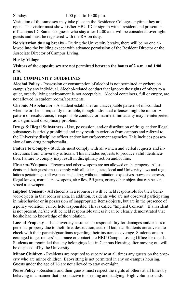Sunday: 1:00 p.m. to 10:00 p.m.

Visitation of the same sex may take place in the Residence Colleges anytime they are open. The visitor must show his/her HBU ID or sign in with a resident and present an off-campus ID. Same-sex guests who stay after 12:00 a.m. will be considered overnight guests and must be registered with the RA on duty.

**No visitation during breaks** – During the University breaks, there will be no one allowed into the building except with advance permission of the Resident Director or the Associate Director of Campus Living.

#### **Husky Village**

#### **Visitors of the opposite sex are not permitted between the hours of 2 a.m. and 1:00 p.m.**

#### **HBU COMMUNITY GUIDELINES**

**Alcohol Policy** - Possession or consumption of alcohol is not permitted anywhere on campus by any individual. Alcohol-related conduct that ignores the rights of others to a quiet, orderly living environment is not acceptable. Alcohol containers, full or empty, are not allowed in student rooms/apartments.

**Chronic Misbehavior** - A student establishes an unacceptable pattern of misconduct when he or she is frequently in trouble, though individual offenses might be minor. A pattern of recalcitrance, irresponsible conduct, or manifest immaturity may be interpreted as a significant disciplinary problem.

**Drugs & Illegal Substances** - Use, possession, and/or distribution of drugs and/or illegal substances is strictly prohibited and may result in eviction from campus and referral to the University discipline officer and/or law enforcement agencies. This includes possession of any drug paraphernalia.

**Failure to Comply** - Students must comply with all written and verbal requests and instructions from University officials. This includes requests to produce valid identification. Failure to comply may result in disciplinary action and/or fine.

**Firearms/Weapons** - Firearms and other weapons are not allowed on the property. All students and their guests must comply with all federal, state, local and University laws and regulations pertaining to all weapons including, without limitation, explosives, bows and arrows, illegal knives, martial arts weapons, air rifles, BB guns, or any other object that can be construed as a weapon.

**Implied Consent** - All students in a room/area will be held responsible for their behavior/objects in that room or area. In addition, residents who are not observed participating in misbehavior or in possession of inappropriate items/objects, but are in the presence of a policy violation, can be held responsible. This is called "Implied Consent." If a resident is not present, he/she will be held responsible unless it can be clearly demonstrated that he/she had no knowledge of the violation.

**Loss of Property** - The University assumes no responsibility for damages and/or loss of personal property due to theft, fire, destruction, acts of God, etc. Students are advised to check with their parents/guardians regarding their insurance coverage. Students are encouraged to get renters' insurance or contact the HBU Campus Living Office for details. Students are reminded that any belongings left in Campus Housing after moving out will be disposed of by the University.

**Minor Children** - Residents are required to supervise at all times any guests on the property who are minor children. Babysitting is not permitted in any on-campus housing. Guests under the age of 16 are not allowed to stay overnight.

**Noise Policy** - Residents and their guests must respect the rights of others at all times by behaving in a manner that is conducive to sleeping and studying. High volume sounds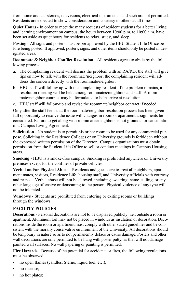from home and car stereos, televisions, electrical instruments, and such are not permitted. Residents are expected to show consideration and courtesy to others at all times.

**Quiet Hours** - In order to meet the many requests of resident students for a better living and learning environment on campus, the hours between 10:00 p.m. to 10:00 a.m. have been set aside as quiet hours for residents to relax, study, and sleep.

**Posting** - All signs and posters must be pre-approved by the HBU Student Life Office before being posted. If approved, posters, signs, and other items should only be posted in designated areas.

**Roommate & Neighbor Conflict Resolution** - All residents agree to abide by the following process:

- a. The complaining resident will discuss the problem with an RA/RD; the staff will give tips on how to talk with the roommate/neighbor; the complaining resident will address the concern directly with the roommate/neighbor.
- b. HBU staff will follow up with the complaining resident. If the problem remains, a resolution meeting will be held among roommates/neighbors and staff. A roommate/neighbor contract may be formulated to help arrive at resolution.
- c. HBU staff will follow-up and revise the roommate/neighbor contract if needed.

Only after the staff feels that the roommate/neighbor resolution process has been given full opportunity to resolve the issue will changes in room or apartment assignments be considered. Failure to get along with roommates/neighbors is not grounds for cancellation of a Campus Living Agreement.

**Solicitation** - No student is to permit his or her room to be used for any commercial purpose. Soliciting in the Residence Colleges or on University grounds is forbidden without the expressed written permission of the Director. Campus organizations must obtain permission from the Student Life Office to sell or conduct meetings in Campus Housing areas.

**Smoking** - HBU is a smoke-free campus. Smoking is prohibited anywhere on University premises except for the confines of private vehicles.

**Verbal and/or Physical Abuse** - Residents and guests are to treat all neighbors, apartment mates, visitors, Residence Life, housing staff, and University officials with courtesy and respect. Verbal abuse will not be allowed, including swearing, name-calling, or any other language offensive or demeaning to the person. Physical violence of any type will not be tolerated.

**Windows** - Students are prohibited from entering or exiting rooms or buildings through the windows.

#### **FACILITY POLICIES**

**Decorations** - Personal decorations are not to be displayed publicly, i.e., outside a room or apartment. Aluminum foil may not be placed in windows as insulation or decoration. Decorations inside the room or apartment must comply with other stated guidelines and be consistent with the morally conservative environment of the University. All decorations should be temporary in nature so as to not permanently deface or cause damage. Posters and other wall decorations are only permitted to be hung with poster putty, as that will not damage painted wall surfaces. No wall papering or painting is permitted.

**Fire Hazards** - Because of the potential for accidents or fires, the following regulations must be observed:

- no open flames (candles, Sterno, liquid fuel, etc.);
- no incense;
- no hot plates;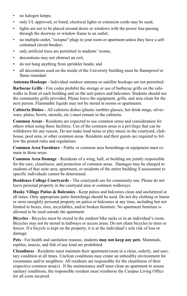- no halogen lamps;
- only UL approved, or listed, electrical lights or extension cords may be used;
- lights are not to be placed around doors or windows with the power line passing through the doorway or window frame to an outlet;
- no multiple-outlet, "octopus" plugs in your room or apartment unless they have a selfcontained circuit breaker;
- only artificial trees are permitted in students' rooms;
- decorations may not obstruct an exit;
- do not hang anything from sprinkler heads; and
- all decorations used on the inside of the University building must be flameproof or flame retardant.

**Antenna Hookups** - Individual outdoor antenna or satellite hookups are not permitted.

**Barbecue Grills** - Fire codes prohibit the storage or use of barbecue grills on the sidewalks in front of each building and on the unit patios and balconies. Students should use the community grills provided. Please leave the equipment, grills, and area clean for the next person. Flammable liquids may not be stored in rooms or apartments.

**Cafeteria Dishes** - All cafeteria dishes (plastic tumbler glasses, hot drink mugs, silverware, plates, bowls, utensils, etc.) must remain in the cafeteria.

**Common Areas** - Residents are expected to use common sense and consideration for others when using these facilities. Use of the common areas is a privilege that can be withdrawn for any reason. Do not make loud noise or play music in the courtyard, clubhouse, pool area, or other common areas. Residents and their guests are required to follow the posted rules and regulations.

**Common Area Furniture** - Public or common area furnishings or equipment must remain in those areas.

**Common Area Damage** - Residents of a wing, hall, or building are jointly responsible for the care, cleanliness, and protection of common areas. Damages may be charged to students of that suite area, apartment, or residents of the entire building if assessment to specific individuals cannot be determined.

**Residence College Courtyards** - The courtyards are for community use. Please do not leave personal property in the courtyard area or common walkways.

**Husky Village Patios & Balconies** - Keep patios and balconies clean and uncluttered at all times. Only appropriate patio furnishings should be used. Do not dry clothing or linens or store unsightly personal property on patios or balconies at any time, including but not limited to boxes, tires, recyclables, and/or broken furniture. No apartment furniture is allowed to be used outside the apartment.

**Bicycles** - Bicycles must be stored in the outdoor bike racks or in an individual's room. Bicycles may not be stored in hallways or access areas. Do not chain bicycles to trees or fences. If a bicycle is kept on the property, it is at the individual's sole risk of loss or damage.

**Pets** - For health and sanitation reasons, students **may not keep any pets**. Mammals, reptiles, insects, and fish of any kind are prohibited.

**Cleanliness** - Residents must maintain their apartment/room in a clean, orderly, and sanitary condition at all times. Unclean conditions may create an unhealthy environment for roommates and/or neighbors. All residents are responsible for the cleanliness of their respective common area(s). If the maintenance staff must clean an apartment to assure sanitary conditions, the responsible resident must reimburse the Campus Living Office for all costs incurred.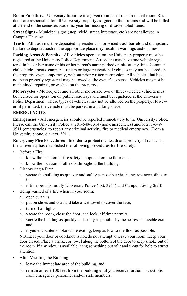**Room Furniture** - University furniture in a given room must remain in that room. Residents are responsible for all University property assigned to their rooms and will be billed at the end of the semester/academic year for missing or disassembled items.

**Street Signs** - Municipal signs (stop, yield, street, interstate, etc.) are not allowed in Campus Housing.

**Trash** - All trash must be deposited by residents in provided trash barrels and dumpsters. Failure to deposit trash in the appropriate place may result in warnings and/or fines.

**Parking Areas & Permits** - All vehicles operated on the University property must be registered at the University Police Department. A resident may have one vehicle registered in his or her name or his or her parent's name parked on-site at any time. Commercial vehicles, boats, campers, trailers or large recreational vehicles may not be stored on the property, even temporarily, without prior written permission. All vehicles that have not been properly registered may be towed at the owner's expense. Vehicles may not be maintained, repaired, or washed on the property.

**Motorcycles** - Motorcycles and all other motorized two or three-wheeled vehicles must be licensed for operation on public roadways and must be registered at the University Police Department. These types of vehicles may not be allowed on the property. However, if permitted, the vehicle must be parked in a parking space.

#### **EMERGENCIES**

**Emergencies** - All emergencies should be reported immediately to the University Police. Please call the University Police at 281-649-3314 (non-emergencies) and/or 281-649- 3911 (emergencies) to report any criminal activity, fire or medical emergency. From a University phone, dial ext. 3911.

**Emergency Fire Procedures** - In order to protect the health and property of residents, the University has established the following procedures for fire safety:

- Before a Fire:
	- a. know the location of fire safety equipment on the floor and,
	- b. know the location of all exits throughout the building.
- Discovering a Fire:
	- a. vacate the building as quickly and safely as possible via the nearest accessible exit,
	- b. if time permits, notify University Police (Ext. 3911) and Campus Living Staff.
- Being warned of a fire when in your room:
	- a. open curtains,
	- b. put on shoes and coat and take a wet towel to cover the face,
	- c. turn off all lights,
	- d. vacate the room, close the door, and lock it if time permits,
	- e. vacate the building as quickly and safely as possible by the nearest accessible exit, and
	- f. if you encounter smoke while exiting, keep as low to the floor as possible.

 NOTE: If your door or doorknob is hot, do not attempt to leave your room. Keep your door closed. Place a blanket or towel along the bottom of the door to keep smoke out of the room. If a window is available, hang something out of it and shout for help to attract attention.

- After Vacating the Building:
	- a. leave the immediate area of the building, and
	- b. remain at least 100 feet from the building until you receive further instructions from emergency personnel and/or staff members.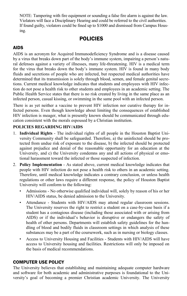NOTE: Tampering with fire equipment or sounding a false fire alarm is against the law. Violators will face a Disciplinary Hearing and could be referred to the civil authorities. If found guilty, violators could be fined up to \$1000 and dismissed from Campus Housing.

## POLICIES

#### AIDS

AIDS is an acronym for Acquired Immunodeficiency Syndrome and is a disease caused by a virus that breaks down part of the body's immune system, impairing a person's natural defenses against a variety of illnesses, many life-threatening. HIV is a medical term for the virus that breaks down the body's immune system. HIV is found in many body fluids and secretions of people who are infected, but respected medical authorities have determined that its transmission is solely through blood, semen, and female genital secretions. Current medical knowledge indicates that students and employees with HIV infection do not pose a health risk to other students and employees in an academic setting. The Public Health Service states that there is no risk created by living in the same place as an infected person, casual kissing, or swimming in the same pool with an infected person.

There is as yet neither a vaccine to prevent HIV infection nor curative therapy for infected persons. Even though knowledge about limiting the consequences of established HIV infection is meager, what is presently known should be communicated through education consistent with the morals espoused by a Christian institution.

#### **POLICIES REGARDING HIV/AIDS**

- 1. **Individual Rights** The individual rights of all people in the Houston Baptist University Community shall be safeguarded. Therefore, a) the uninfected should be protected from undue risk of exposure to the disease, b) the infected should be protected against prejudice and denial of the reasonable opportunity for an education at the University, and c) the University condemns any and all actions of physical or emotional harassment toward the infected or those suspected of infection.
- 2. **Policy Implementation** As stated above, current medical knowledge indicates that people with HIV infection do not pose a health risk to others in an academic setting. Therefore, until medical knowledge indicates a contrary conclusion, or unless health regulations or other laws require a different response, the policy of Houston Baptist University will conform to the following:
	- Admissions No otherwise qualified individual will, solely by reason of his or her HIV/AIDS status, be denied admission to the University.
	- Attendance Students with HIV/AIDS may attend regular classroom sessions. The University reserves the right to restrict a student on a case-by-case basis if a student has a contagious disease (including those associated with or arising from AIDS) or if the individual's behavior is disruptive or endangers the safety of health of other persons. Departments will establish safety guidelines for the handling of blood and bodily fluids in classroom settings in which analysis of these substances may be a part of the coursework, such as in nursing or biology classes.
	- Access to University Housing and Facilities Students with HIV/AIDS will have access to University housing and facilities. Restrictions will only be imposed on the basis of medical recommendations.

#### COMPUTER USE POLICY

The University believes that establishing and maintaining adequate computer hardware and software for both academic and administrative purposes is foundational to the University's goal of becoming a premier Christian academic University. The University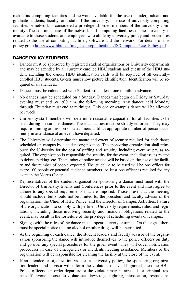makes its computing facilities and network available for the use of undergraduate and graduate students, faculty, and staff of the university. The use of university computing facilities or network is considered a privilege afforded members of the university community. The continued use of the network and computing facilities of the university is available to those students and employees who abide by university policy and procedures related to the use of computing facilities, software and the network. For details of this policy go to [http://www.hbu.edu/images/hbu/publications/IS/Computer\\_Use\\_Policy.pdf.](http://www.hbu.edu/images/hbu/publications/IS/Computer_Use_Policy.pdf)

#### DANCE POLICY-STUDENTS

- Dances must be sponsored by registered student organizations or University departments and may be attended by all currently enrolled HBU students and guests of the HBU student attending the dance. HBU identification cards will be required of all currentlyenrolled HBU students. Guests must show picture identification. Identification will be required of all attendees.
- Dances must be calendared with Student Life at least one month in advance.
- No dances may be scheduled on a Sunday. Dances that begin on Friday or Saturday evening must end by 1:00 a.m. the following morning. Any dances held Monday through Thursday must end at midnight. Only one on-campus dance will be allowed per week.
- University staff members will determine reasonable capacities for all facilities to be used during on-campus dances. These capacities must be strictly enforced. They may require limiting admission of latecomers until an appropriate number of persons currently in attendance at an event have departed.
- The University will determine the nature and extent of security required for each dance scheduled on campus by a student organization. The sponsoring organization shall reimburse the University for the cost of staffing and security, including overtime pay as required. The organization is responsible for security for the event, including issues related to tickets, parking, etc. The number of police needed will be based on the size of the facility and the number of people expected. The guideline to be used will be one officer for every 100 people or potential audience members. At least one officer is required for any event in the Morris Center.
- Representatives of the student organization sponsoring a dance must meet with the Director of University Events and Conferences prior to the event and must agree to adhere to any special requirements that are imposed. Those present at the meeting should include, but should not be limited to, the president and faculty advisor of the organization, the Chief of HBU Police, and the Director of Campus Activities. Failure of the organization to comply with pertinent University requirements, rules, and regulations, including those involving security and financial obligations related to the event, may result in the forfeiture of the privilege of scheduling events on campus.
- Signage with the rules of the dance must appear at every entrance. On the signs, there must be special notice that no alcohol or other drugs will be permitted.
- At the beginning of each dance, the student leaders and faculty advisor of the organization sponsoring the dance will introduce themselves to the police officers on duty and go over any special procedures for the given event. They will cover notification procedures in case of emergencies or incidents needing assistance. Members of the organization will be responsible for cleaning the facility at the close of the event.
- If an attendee or organization violates a University policy, the sponsoring organization leaders and advisor will inform the violator to leave. If ignored, then the HBU Police officers can order departure or the violator may be arrested for criminal trespass. If anyone chooses to violate state laws (e.g., fighting, intoxication, trespass, re-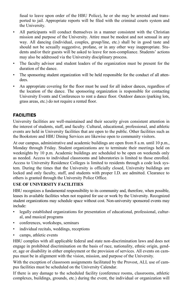fusal to leave upon order of the HBU Police), he or she may be arrested and transported to jail. Appropriate reports will be filed with the criminal courts system and the University.

- All participants will conduct themselves in a manner consistent with the Christian mission and purpose of the University. Attire must be modest and not sensual in any way. All dancing (individual, couples, group/line, etc.) shall be in good taste and should not be sexually suggestive, profane, or in any other way inappropriate. Students and/or their guests will be asked to leave for non-compliance. Students' actions may also be addressed via the University disciplinary process.
- The faculty advisor and student leaders of the organization must be present for the duration of the dance.
- The sponsoring student organization will be held responsible for the conduct of all attendees.
- An appropriate covering for the floor must be used for all indoor dances, regardless of the location of the dance. The sponsoring organization is responsible for contacting University Events and Conferences to rent a dance floor. Outdoor dances (parking lots, grass areas, etc.) do not require a rented floor.

#### FACILITIES

University facilities are well-maintained and their security given consistent attention in the interest of students, staff, and faculty. Cultural, educational, professional, and athletic events are held in University facilities that are open to the public. Other facilities such as the Bookstore and HBU Dining Services are likewise open to community visitors.

At our campus, administrative and academic buildings are open from 8 a.m. until 10 p.m., Monday through Friday. Student organizations are to terminate their meetings held on weeknights by 10 p.m. Academic buildings are scheduled to be open on weekends only as needed. Access to individual classrooms and laboratories is limited to those enrolled. Access to University Residence Colleges is limited to residents through a code lock system. During the times that the University is officially closed, University buildings are locked and only faculty, staff, and students with proper I.D. are admitted. Clearance to others is granted through the University Police Office.

#### **USE OF UNIVERSITY FACILITIES**

HBU recognizes a fundamental responsibility to its community and, therefore, when possible, leases its available facilities when not required for use or work by the University. Recognized student organizations may schedule space without cost. Non-university sponsored events may include:

- legally established organizations for presentation of educational, professional, cultural, and musical programs
- conferences, workshops, seminars
- individual recitals, weddings, receptions
- camps, athletic events

HBU complies with all applicable federal and state non-discrimination laws and does not engage in prohibited discrimination on the basis of race, nationality, ethnic origin, gender, age or disability in either employment or the provision of services. All events on campus must be in alignment with the vision, mission, and purpose of the University.

With the exception of classroom assignments facilitated by the Provost, ALL use of campus facilities must be scheduled on the University Calendar.

If there is any damage to the scheduled facility (conference rooms, classrooms, athletic complexes, buildings, grounds, etc.) during the event, the individual or organization will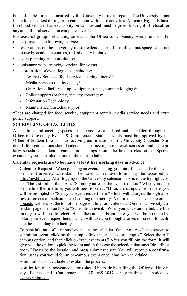be held liable for costs incurred by the University to make repairs. The University is not liable for items lost during or in connection with these activities. Aramark Higher Education Food Services has exclusivity on campus and must be given first right of refusal for any and all food service on campus at events.

For external groups scheduling an event, the Office of University Events and Conferences provides the following services:

- reservations on the University master calendar for all use of campus space when not in use by academic courses, or University initiatives
- event planning and consultation
- assistance with arranging services for events
- coordination of event logistics, including:
	- Aramark Services (food service, catering, linens)\*
	- Media Services (audio/visual)\*
	- Operations (facility set up, equipment rental, summer lodging)\*
	- Police support (parking, security coverage)\*
	- Information Technology
	- Maintenance/Custodial support

\*Fees are charged for food service, equipment rentals, media service needs and extra police support.

#### **SCHEDULING OF FACILITIES**

All facilities and meeting spaces on campus are calendared and scheduled through the Office of University Events & Conferences. Student events must be approved by the Office of Student Life prior to receiving confirmation on the University Calendar. Student Life organizations should calendar their meeting space each semester, and all regularly scheduled student organization meetings should be held in classrooms. Special events may be scheduled in one of the custom halls.

#### **Calendar requests are to be made at least five working days in advance.**

1. **Calendar Request** - When planning an event/meeting, you must first calendar the event on the University calendar. The calendar request form may be accessed at http://my.hbu.edu. After logging in, the University calendars box is in the top right corner. The last link in the box is "Submit your calendar event requests." When you click on the link the first time, you will need to select "H" as the campus. From there, you will be prompted to "Start your event request here," which will take you through a series of screens to facilitate the scheduling of a facility. A tutorial is also available on the hbu.edu website*.* At the top of the page is a link for "Calendar." On the "University Calendar" page is a blue link to "Schedule an event." When you click on the link the first time, you will need to select "H" as the campus. From there, you will be prompted to "Start your event request here," which will take you through a series of screens to facilitate the scheduling of a facility.

 To schedule an "off campus" event on the calendar: Once you reach the screen to submit an event, click on the campus link under "select a campus." Select the offcampus option, and then click on "request events." After you fill out the form, it will give you the option to pick the room and in the case the selection that says "describe a room." Describe the location and press submit request. You will receive a confirmation just as you would for an on-campus event once it has been scheduled.

A tutorial is also available to explain the process.

 Notification of change/cancellations should be made by calling the Office of University Events and Conferences at 281-649-3047 or e-mailing a notice to events@hbu.edu.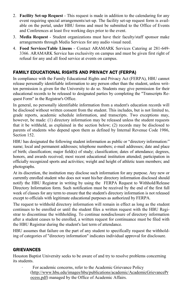- 2. **Facility Set-up Request**  This request is made in addition to the calendaring for any event requiring special arrangements/set-up. The facility set-up request form is available on the portal, under HBU forms and must be submitted to the Office of Events and Conferences at least five working days prior to the event.
- 3. **Media Request** Student organizations must have their faculty/staff sponsor make arrangements through Media Services for any audio visual need.
- 4. **Food Services/Table Linens** Contact ARAMARK Services Catering at 281-649- 3366. ARAMARK Service has exclusivity on campus and must be given first right of refusal for any and all food service at events on campus.

### FAMILY EDUCATIONAL RIGHTS AND PRIVACY ACT (FERPA)

In compliance with the Family Educational Rights and Privacy Act (FERPA), HBU cannot release personally identifiable information to any person other than the student, unless written permission is given for the University to do so. Students may give permission for their educational records to be released to designated parties by completing the "Transcripts Request Form" in the Registrar's Office.

In general, no personally identifiable information from a student's education records will be disclosed without written consent from the student. This includes, but is not limited to, grade reports, academic schedule information, and transcripts. Two exceptions may, however, be made: (1) directory information may be released unless the student requests that it be withheld, as explained in the section below; (2) records may be disclosed to parents of students who depend upon them as defined by Internal Revenue Code 1986, Section 152.

HBU has designated the following student information as public or "directory information:" name; local and permanent addresses; telephone numbers; e-mail addresses; date and place of birth; classification; major field(s) of study; classification; dates of attendance; degrees, honors, and awards received; most recent educational institution attended; participation in officially recognized sports and activities; weight and height of athletic team members; and photographs.

At its discretion, the institution may disclose such information for any purpose. Any new or currently enrolled student who does not want his/her directory information disclosed should notify the HBU Registrar in writing by using the FERPA Request to Withhold/Release Directory Information form. Such notification must be received by the end of the first full week of classes for any term to ensure that the student's directory information is not released except to officials with legitimate educational purposes as authorized by FERPA.

The request to withhold directory information will remain in effect as long as the student continues to be enrolled or until the student files a written request with the HBU Registrar to discontinue the withholding. To continue nondisclosure of directory information after a student ceases to be enrolled, a written request for continuance must be filed with the HBU Registrar during the student's last term of attendance.

HBU assumes that failure on the part of any student to specifically request the withholding of categories of "directory information" indicates individual approval for disclosure.

#### GRIEVANCES

Houston Baptist University seeks to be aware of and try to resolve problems concerning its students.

> For academic concerns, refer to the Academic Grievance Policy [\(http://www.hbu.edu/images/hbu/publications/academic/AcademicGrievancePr](http://www.hbu.edu/images/hbu/publications/academic/AcademicGrievanceProcess.pdf) [ocess.pdf\)](http://www.hbu.edu/images/hbu/publications/academic/AcademicGrievanceProcess.pdf) managed by the Office of Academic Affairs.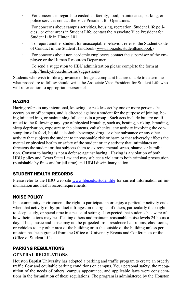- For concerns in regards to custodial, facility, food, maintenance, parking, or police services contact the Vice President for Operations.
- For concerns about campus activities, housing, recreation, Student Life policies , or other areas in Student Life, contact the Associate Vice President for Student Life in Hinton 101.
- To report another student for unacceptable behavior, refer to the Student Code of Conduct in the Student Handbook [\(www.hbu.edu/studenthandbook\)](http://www.hbu.edu/studenthandbook)
- · For concerns about non academic employees contact the supervisor of the employee or the Human Resources Department.
- · To send a suggestion to HBU administration please complete the form at <http://husky.hbu.edu/forms/suggestions/>

Students who wish to file a grievance or lodge a complaint but are unable to determine what procedure to follow should write the Associate Vice President for Student Life who will refer action to appropriate personnel.

#### **HAZING**

Hazing refers to any intentional, knowing, or reckless act by one or more persons that occurs on or off campus, and is directed against a student for the purpose of joining, being initiated into, or maintaining full status in a group. Such acts include but are not limited to the following: any type of physical brutality, such as, beating, striking, branding, sleep deprivation, exposure to the elements, calisthenics, any activity involving the consumption of a food, liquid, alcoholic beverage, drug, or other substance or any other activity that subjects the student to unreasonable risk or harm or that adversely affects the mental or physical health or safety of the student or any activity that intimidates or threatens the student or that subjects them to extreme mental stress, shame, or humiliation. Consent to hazing is not a defense against hazing. Hazing is a violation of both HBU policy and Texas State Law and may subject a violator to both criminal prosecution (punishable by fines and/or jail time) and HBU disciplinary action.

#### STUDENT HEALTH RECORDS

Please refer to the HBU web site [www.hbu.edu/studentlife](http://www.hbu.edu/studentlife) for current information on immunization and health record requirements.

#### NOISE POLICY

In a community environment, the right to participate in or enjoy a particular activity ends when that activity or by-product infringes on the rights of others, particularly their right to sleep, study, or spend time in a peaceful setting. It expected that students be aware of how their actions may be affecting others and maintain reasonable noise levels 24 hours a day. Thus, music and noise may not be projected from residence hall rooms, classrooms, or vehicles to any other area of the building or to the outside of the building unless permission has been granted from the Office of University Events and Conferences or the Office of Student Life.

## PARKING REGULATIONS

#### **GENERAL REGULATIONS**

Houston Baptist University has adopted a parking and traffic program to create an orderly traffic flow and equitable parking conditions on campus. Your personal safety, the recognition of the needs of others, campus appearance, and applicable laws were considerations in the formulation of these regulations. The program is administered by the Houston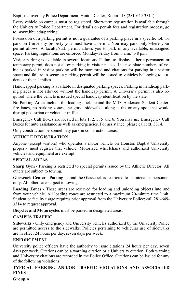Baptist University Police Department, Hinton Center, Room 118 (281-649-3314).

Every vehicle on campus must be registered. Short-term registration is available through the University Police Department. For details on permit fees and registration process, go to www.hbu.edu/parking.

Possession of a parking permit is not a guarantee of a parking place in a specific lot. To park on University property you must have a permit. You may park only where your permit allows. A faculty/staff permit allows you to park in any available, unassigned space. Parking regulations are enforced Monday-Friday from 6 a.m. to 8 p.m.

Visitor parking is available in several locations. Failure to display either a permanent or temporary permit does not allow parking in visitor places. License plate numbers of vehicles parked in visitor parking will be monitored and citations for parking in a visitor space and failure to secure a parking permit will be issued to vehicles belonging to students or their families.

Handicapped parking is available in designated parking spaces. Parking in handicap parking places is not allowed without the handicap permit. A University permit is also required where the vehicle is issued special handicap identification by the state.

No Parking Areas include the loading dock behind the M.D. Anderson Student Center, fire lanes, no parking zones, the grass, sidewalks, along curbs or any spot that would disrupt pedestrian or vehicular traffic.

Emergency Call Boxes are located in lots 1, 2, 3, 5 and 6. You may use Emergency Call Boxes for auto assistance as well as emergencies. For assistance, please call ext. 3314.

Only construction personnel may park in construction areas.

#### **VEHICLE REGISTRATION**

Anyone (except visitors) who operates a motor vehicle on Houston Baptist University property must register that vehicle. Motorized wheelchairs and authorized University vehicles and equipment are exempt.

#### **SPECIAL AREAS**

**Sharp Gym** - Parking is restricted to special permits issued by the Athletic Director. All others are subject to towing.

**Glasscock Center** - Parking behind the Glasscock is restricted to maintenance personnel only. All others are subject to towing.

**Loading Zones** - These areas are reserved for loading and unloading objects into and from your vehicle. All loading zones are restricted to a maximum 20-minute time limit. Student or faculty usage requires prior approval from the University Police; call 281-649- 3314 to request approval.

**Bicycles and Motorcycles** must be parked in designated areas.

#### **CAMPUS TRAFFIC**

**Sidewalks** - Only emergency and University vehicles authorized by the University Police are permitted access to the sidewalks. Policies pertaining to vehicular use of sidewalks are in effect 24 hours per day, seven days per week.

#### **ENFORCEMENT**

University police officers have the authority to issue citations 24 hours per day, seven days per week. Citations can be a warning citation or a University citation. Both warning and University citations are recorded in the Police Office. Citations can be issued for any of the following violations:

#### **TYPICAL PARKING AND/OR TRAFFIC VIOLATIONS AND ASSOCIATED FINES**

**Group A**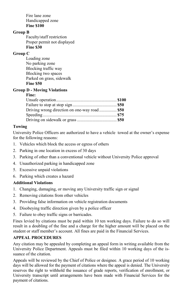Fire lane zone Handicapped zone **Fine \$100** 

#### **Group B**

 Faculty/staff restriction Proper permit not displayed **Fine \$30** 

#### **Group C**

 Loading zone No parking zone Blocking traffic way Blocking two spaces Parked on grass, sidewalk **Fine \$50** 

#### **Group D - Moving Violations**

#### **Fine:**

#### **Towing**

University Police Officers are authorized to have a vehicle towed at the owner's expense for the following reasons:

- 1. Vehicles which block the access or egress of others
- 2. Parking in one location in excess of 30 days
- 3. Parking of other than a conventional vehicle without University Police approval
- 4. Unauthorized parking in handicapped zone
- 5. Excessive unpaid violations
- 6. Parking which creates a hazard

#### **Additional Violations**

- 1. Changing, damaging, or moving any University traffic sign or signal
- 2. Removing citations from other vehicles
- 3. Providing false information on vehicle registration documents
- 4. Disobeying traffic direction given by a police officer
- 5. Failure to obey traffic signs or barricades.

Fines levied by citations must be paid within 10 ten working days. Failure to do so will result in a doubling of the fine and a charge for the higher amount will be placed on the student or staff member's account. All fines are paid in the Financial Services.

#### **APPEAL PROCEDURES**

Any citation may be appealed by completing an appeal form in writing available from the University Police Department. Appeals must be filed within 10 working days of the issuance of the citation.

Appeals will be reviewed by the Chief of Police or designee. A grace period of 10 working days will be allowed for the payment of citations where the appeal is denied. The University reserves the right to withhold the issuance of grade reports, verification of enrollment, or University transcript until arrangements have been made with Financial Services for the payment of citations.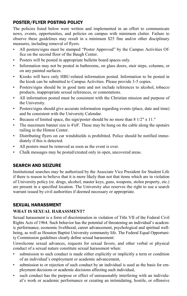#### POSTER/FLYER POSTING POLICY

The policies listed below were written and implemented in an effort to communicate news, events, opportunities, and policies on campus with minimum clutter. Failure to observe these guidelines may result in a minimum \$25 fine and/or other disciplinary measures, including removal of flyers.

- All posters/signs must be stamped "Poster Approved" by the Campus Activities Office on the second floor of the Baugh Center.
- Posters will be posted in appropriate bulletin board spaces only.
- Information may not be posted in bathrooms, on glass doors, stair steps, columns, or on any painted surfaces.
- Kiosks will have only HBU-related information posted. Information to be posted in the kiosk can be submitted to Campus Activities. Please provide 3-5 copies.
- Posters/signs should be in good taste and not include references to alcohol, tobacco products, inappropriate sexual references, or connotations.
- All information posted must be consistent with the Christian mission and purpose of the University.
- Posters/signs should give accurate information regarding events (place, date and time) and be consistent with the University Calendar.
- Because of limited space, the sign/poster should be no more than 8 1/2" x 11."
- The maximum banner size is 4'x8'. These may be hung on the cable along the upstairs railing in the Hinton Center.
- Distributing flyers on car windshields is prohibited. Police should be notified immediately if this is detected.
- All posters must be removed as soon as the event is over.
- Chalk messages may be posted/created only in open, uncovered areas.

### SEARCH AND SEIZURE

Institutional searches may be authorized by the Associate Vice President for Student Life if there is reason to believe that it is more likely than not that items which are in violation of University policy (re. drugs, alcohol, master keys, guns, weapons, stolen property, etc.) are present in a specified location. The University also reserves the right to use a search warrant issued by civil authorities if deemed necessary or appropriate.

### SEXUAL HARASSMENT

#### **WHAT IS SEXUAL HARASSMENT?**

Sexual harassment is a form of discrimination in violation of Title VII of the Federal Civil Rights Acts of 1964. Such behavior has the potential of threatening an individual's academic performance, economic livelihood, career advancement, psychological and spiritual wellbeing, as well as Houston Baptist University community life. The Federal Equal Opportunity Commission guidelines clearly define sexual harassment:

Unwelcome sexual advances, requests for sexual favors, and other verbal or physical conduct of a sexual nature constitute sexual harassment when:

- submission to such conduct is made either explicitly or implicitly a term or condition of an individual's employment or academic advancement,
- submission to or rejection of such conduct by an individual is used as the basis for employment decisions or academic decisions affecting such individual,
- such conduct has the purpose or effect of unreasonably interfering with an individual's work or academic performance or creating an intimidating, hostile, or offensive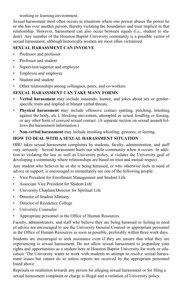working or learning environment.

Sexual harassment most often occurs in situations where one person abuses the power he or she has over another person, thereby violating the boundaries and trust implicit in that relationship. However, harassment can also occur between equals (i.e., student to student). Any member of the Houston Baptist University community is a possible victim of sexual harassment, although historically women are most often victimized.

#### **SEXUAL HARASSMENT CAN INVOLVE**

- Professor and professor
- Professor and student
- Supervisor/superior and employee
- Employee and employee
- Student and student
- Other relationships among colleagues, peers, and co-workers

#### **SEXUAL HARASSMENT CAN TAKE MANY FORMS**

- **Verbal harassment** may include innuendo, humor, and jokes about sex or genderspecific traits and implied or blatant verbal threats.
- **Physical harassment** may include offensive contact (patting, pinching, brushing against the body, etc.), blocking movement, attempted or actual fondling or kissing, or any other form of coerced sexual contact. (A separate section on sexual assault follows the harassment information.)
- **Non-verbal harassment** may include insulting whistling, gestures, or leering.

#### **HOW TO DEAL WITH A SEXUAL HARASSMENT SITUATION**

HBU takes sexual harassment complaints by students, faculty, administration, and staff very seriously. Sexual harassment hurts our whole community when it occurs. In addition to violating the law as well as University policy, it violates the University goal of developing a community where relationships are based on trust and mutual respect.

Any student who believes he or she is being harassed, or who otherwise feels in need of advice or support, is encouraged to immediately see one of the following people:

- Vice President for Enrollment Management and Student Life
- Associate Vice President for Student Life
- University Chaplain/Director for Spiritual Life
- Director of Student Ministry
- Director of Residence College
- University Counselor
- Appropriate personnel in the Office of Human Resources

Faculty, administrators, and staff who believe they are being harassed or feeling in need of advice are encouraged to see the University General Counsel or appropriate personnel in the Office of Human Resources as soon as possible, preferably within three work days.

Students are encouraged to seek assistance even if they are unsure that what they are experiencing is sexual harassment. Do not allow sexual harassment to jeopardize your rights and opportunities as a student here at Houston Baptist University for work or education. The University wants to work with students to attempt to resolve sexual harassment issues but cannot do so unless reports are received by the appropriate personnel listed above.

Reprisals or retaliation towards any person for alleging sexual harassment or for filing a sexual harassment complaint or charge is illegal and a violation of University policy.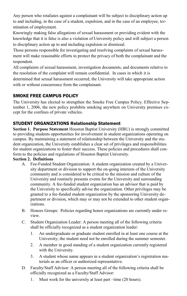Any person who retaliates against a complainant will be subject to disciplinary action up to and including, in the case of a student, expulsion, and in the case of an employee, termination of employment.

Knowingly making false allegations of sexual harassment or providing evident with the knowledge that it is false is also a violation of University policy and will subject a person to disciplinary action up to and including expulsion or dismissal.

Those persons responsible for investigating and resolving complaints of sexual harassment will make reasonable efforts to protect the privacy of both the complainant and the respondent.

All complaints of sexual harassment, investigation documents, and documents relative to the resolution of the complaint will remain confidential. In cases in which it is determined that sexual harassment occurred, the University will take appropriate action with or without concurrence from the complainant.

#### SMOKE FREE CAMPUS POLICY

The University has elected to strengthen the Smoke Free Campus Policy. Effective September 1, 2006, the new policy prohibits smoking anywhere on University premises except for the confines of private vehicles.

#### STUDENT ORGANIZATIONS Relationship Statement

**Section 1. Purpose Statement** Houston Baptist University (HBU) is strongly committed to providing students opportunities for involvement in student organizations operating on campus. By maintaining a statement of relationship between the University and the student organization, the University establishes a clear set of privileges and responsibilities for student organizations to foster their success. These policies and procedures shall conform to the policies and regulations of Houston Baptist University.

#### **Section 2. Definitions**

- A. Fee-Funded Student Organization: A student organization created by a University department or division to support the on-going interests of the University community and is considered to be critical to the mission and culture of the University and routinely presents events for the University and surrounding community. A fee-funded student organization has an advisor that is paid by the University to specifically advise the organization. Other privileges may be granted to a fee-funded student organization by the sponsoring University department or division, which may or may not be extended to other student organizations.
- B. Honors Groups: Policies regarding honor organizations are currently under review.
- C. Student Organization Leader: A person meeting all of the following criteria shall be officially recognized as a student organization leader:
	- 1. An undergraduate or graduate student enrolled in at least one course at the University; the student need not be enrolled during the summer semester.
	- 2. A member in good standing of a student organization currently registered with the University.
	- 3. A student whose name appears in a student organization's registration materials as an officer or authorized representative.
- D. Faculty/Staff Advisor: A person meeting all of the following criteria shall be officially recognized as a Faculty/Staff Advisor:
	- 1. Must work for the university at least part –time (20 hours).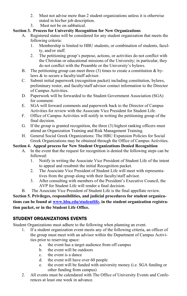- 2. Must not advise more than 2 student organizations unless it is otherwise stated in his/her job description.
- 3. Must not be on sabbatical.

#### **Section 3. Process for University Recognition for New Organizations**

- A. Registered status will be considered for any student organization that meets the following criteria:
	- 1. Membership is limited to HBU students, or combination of students, faculty, and/or staff.
	- 2. The petitioning group's purpose, actions, or activities do not conflict with the Christian or educational missions of the University; in particular, they do not conflict with the Preamble or the University's bylaws.
- B. The petitioning group can meet three  $(3)$  times to create a constitution & bylaws & to secure a faculty/staff advisor.
- C. Submit initial paperwork (recognition packet) including constitution, bylaws, preliminary roster, and faculty/staff advisor contact information to the Director of Campus Activities.
- D. Paperwork will be forwarded to the Student Government Association (SGA) for comment.
- E. SGA will forward comments and paperwork back to the Director of Campus Activities for review with the Associate Vice President for Student Life.
- F. Office of Campus Activities will notify in writing the petitioning group of the final decision.
- G. If the group is granted recognition, the three (3) highest ranking officers must attend an Organization Training and Risk Management Training.
- H. General Social Greek Organizations: The HBU Expansion Policies for Social Greek Organizations may be obtained through the Office of Campus Activities.

#### **Section 4. Appeal process for New Student Organizations Denied Recognition**

- A. In the event that the request for recognition is denied the following steps can be followed:
	- 1. Notify in writing the Associate Vice President of Student Life of the intent to appeal and resubmit the initial Recognition packet.
	- 2. The Associate Vice President of Student Life will meet with representatives from the group along with their faculty/staff advisor.
	- 3. After consulting with members of the President's Executive Council, the AVP for Student Life will render a final decision.
- B. The Associate Vice President of Student Life is the final appellate review.

**Section 5. Privileges, responsibilities, and judicial procedures for student organizations can be found at [www.hbu.edu/studentlife,](http://www.hbu.edu/studentlife) in the student organization registration packet, or in the Student Life Office.** 

### STUDENT ORGANIZATIONS EVENTS

Student Organizations must adhere to the following when planning an event.

- 1. If a student organization event meets any of the following criteria, an officer of the group must meet with an advisor within the Department of Campus Activities prior to reserving space:
	- a. the event has a target audience from off campus
	- b. the event will be outdoors
	- c. the event is a dance
	- d. the event will have over 60 people
	- e. the event will be funded with university money (i.e. SGA funding or other funding from campus)
- 2. All events must be calendared with The Office of University Events and Conferences at least one week in advance.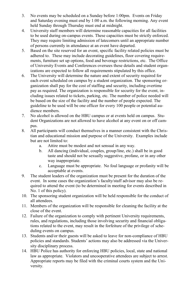- 3. No events may be scheduled on a Sunday before 1:00pm. Events on Friday and Saturday evening must end by 1:00 a.m. the following morning. Any event held Sunday through Thursday must end at midnight.
- 4. University staff members will determine reasonable capacities for all facilities to be used during on-campus events. These capacities must be strictly enforced. They may require limiting admission of latecomers until an appropriate number of persons currently in attendance at an event have departed.
- 5. Based on the site reserved for an event, specific facility related policies must be adhered to. These may include decorating guidelines, floor covering requirements, furniture set up options, food and beverage restrictions, etc. The Office of University Events and Conferences oversees these details and student organizations are expected to follow all requirements stipulated by this office.
- 6. The University will determine the nature and extent of security required for each event scheduled on campus by a student organization. The sponsoring organization shall pay for the cost of staffing and security, including overtime pay as required. The organization is responsible for security for the event, including issues related to tickets, parking, etc. The number of police needed will be based on the size of the facility and the number of people expected. The guideline to be used will be one officer for every 100 people or potential audience members.
- 7. No alcohol is allowed on the HBU campus or at events held on campus. Student Organizations are not allowed to have alcohol at any event on or off campus.
- 8. All participants will conduct themselves in a manner consistent with the Christian and educational mission and purpose of the University. Examples include but are not limited to:
	- a. Attire must be modest and not sensual in any way.
	- b. All dancing (individual, couples, group/line, etc.) shall be in good taste and should not be sexually suggestive, profane, or in any other way inappropriate.
	- c. Language must be appropriate. No foul language or profanity will be acceptable at events.
- 9. The student leaders of the organization must be present for the duration of the event. In some cases the organization's faculty/staff advisor may also be required to attend the event (to be determined in meeting for events described in No. 1 of this policy).
- 10. The sponsoring student organization will be held responsible for the conduct of all attendees.
- 11. Members of the organization will be responsible for cleaning the facility at the close of the event.
- 12. Failure of the organization to comply with pertinent University requirements, rules, and regulations, including those involving security and financial obligations related to the event, may result in the forfeiture of the privilege of scheduling events on campus.
- 13. Students and/or their guests will be asked to leave for non-compliance of HBU policies and standards. Students' actions may also be addressed via the University disciplinary process.
- 14. HBU Police has authority for enforcing HBU policies, local, state and national law as appropriate. Violators and uncooperative attendees are subject to arrest. Appropriate reports may be filed with the criminal courts system and the University.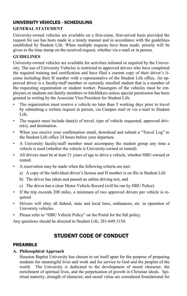## UNIVERSITY VEHICLES - SCHEDULING

#### **GENERAL STATEMENT**

University-owned vehicles are available on a first-come, first-served basis provided the request for use has been made in a timely manner and in accordance with the guidelines established by Student Life. When multiple requests have been made, priority will be given to the time stamp on the received request, whether via e-mail or in person.

#### **GUIDELINES**

University-owned vehicles are available for activities initiated or required by the University. The use of University Vehicles is restricted to approved drivers who have completed the required training and certification and have filed a current copy of their driver's license including their H number with a representative of the Student Life office. An approved driver is a faculty/staff member or currently enrolled student that is a member of the requesting organization or student worker. Passengers of the vehicles must be employees or students not family members or hitchhikers unless special permission has been granted in writing by the Associate Vice President for Student Life.

- The organization must reserve a vehicle no later than 5 working days prior to travel by submitting a written request in person, via Campus mail or via e-mail to Student Life.
- The request must include date(s) of travel, type of vehicle requested, approved driver(s), and destination.
- When you receive your confirmation email, download and submit a "Travel Log" to the Student Life office 24 hours before your departure.
- A University faculty/staff member must accompany the student group any time a vehicle is used (whether the vehicle is University-owned or rented).
- All drivers must be at least 21 years of age to drive a vehicle, whether HBU-owned or rented.
- A reservation may be made when the following criteria are met:
	- a) A copy of the individual driver's license and H number is on file in Student Life
	- b) The driver has taken and passed an online driving test, and
	- c) The driver has a clear Motor Vehicle Record (will be run by HBU Police)
- If the trip exceeds 200 miles, a minimum of two approved drivers per vehicle is required.
- Drivers will obey all federal, state and local laws, ordinances, etc. in operation of University vehicles.
- Please refer to "HBU Vehicle Policy" on the Portal for the full policy.

Any questions should be directed to Student Life, 281-649-3154.

## STUDENT CODE OF CONDUCT

#### PREAMBLE

#### **A. Philosophical Approach**

 Houston Baptist University has chosen to set itself apart for the purpose of preparing students for meaningful lives and work and for service to God and the peoples of the world. The University is dedicated to the development of moral character, the enrichment of spiritual lives, and the perpetuation of growth in Christian ideals. Spiritual maturity, strength of character, and moral virtue are considered foundational for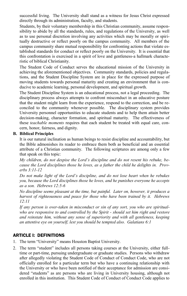successful living. The University shall stand as a witness for Jesus Christ expressed directly through its administration, faculty, and students.

 Students, by their voluntary membership in this Christian community, assume responsibility to abide by all the standards, rules, and regulations of the University, as well as to use personal discretion involving any activities which may be morally or spiritually destructive or reflect poorly on the campus community. All members of the campus community share mutual responsibility for confronting actions that violate established standards for conduct or reflect poorly on the University. It is essential that this confrontation is exercised in a spirit of love and gentleness-a hallmark characteristic of biblical Christianity.

 The Student Code of Conduct serves the educational mission of the University in achieving the aforementioned objectives. Community standards, policies and regulations, and the Student Discipline System are in place for the expressed purpose of moving students towards personal maturity and creating an environment that is conducive to academic learning, personal development, and spiritual growth.

 The Student Discipline System is an educational process, not a legal proceeding. The disciplinary process always attempts to confront misconduct in an educative posture that the student might learn from the experience, respond to the correction, and be reconciled to the community whenever possible. The disciplinary system provides University personnel opportunities to educate students and to help them attain better decision-making, character formation, and spiritual maturity. The effectiveness of these *teachable moments* requires that each student be treated with equal care, concern, honor, fairness, and dignity.

#### **B. Biblical Principles**

 It is our natural inclination as human beings to resist discipline and accountability, but the Bible admonishes its reader to embrace them both as beneficial and an essential attribute of a Christian community. The following scriptures are among only a few that speak on this topic:

 *My children, do not despise the Lord's discipline and do not resent his rebuke, because the Lord disciplines those he loves, as a father the child he delights in. Proverbs 3:11-12*

*Do not make light of the Lord's discipline, and do not lose heart when he rebukes you, because the Lord disciplines those he loves, and he punishes everyone he accepts as a son. Hebrews 12:5-6* 

 *No discipline seems pleasant at the time, but painful. Later on, however, it produces a harvest of righteousness and peace for those who have been trained by it. Hebrews 12:11* 

 *If any person is over-taken in misconduct or sin of any sort, you who are spiritualwho are responsive to and controlled by the Spirit - should set him right and restore and reinstate him, without any sense of superiority and with all gentleness, keeping an attentive eye on yourself, lest you should be tempted also. Galatians 6:1*

#### ARTICLE I: DEFINITIONS

- 1. The term "University" means Houston Baptist University.
- 2. The term "student" includes all persons taking courses at the University, either fulltime or part-time, pursuing undergraduate or graduate studies. Persons who withdraw after allegedly violating the Student Code of Conduct of Conduct Code, who are not officially enrolled for a particular term but who have a continuing relationship with the University or who have been notified of their acceptance for admission are considered "students" as are persons who are living in University housing, although not enrolled in this institution. This Student Code of Conduct of Conduct Code applies to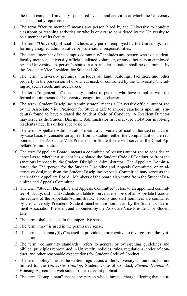the main campus, University-sponsored events, and activities at which the University is substantially represented.

- 3. The term "faculty member" means any person hired by the University to conduct classroom or teaching activities or who is otherwise considered by the University to be a member of its faculty.
- 4. The term "University official" includes any person employed by the University, performing assigned administrative or professional responsibilities.
- 5. The term "member of the campus community" includes any person who is a student, faculty member, University official, enlisted volunteer, or any other person employed by the University. A person's status in a particular situation shall be determined by the Associate Vice President for Student Life.
- 6. The term "University premises" includes all land, buildings, facilities, and other property in the possession of or owned, used, or controlled by the University (including adjacent streets and sidewalks).
- 7. The term "organization" means any number of persons who have complied with the formal requirements for University recognition or charter.
- 8. The term "Student Discipline Administrator" means a University official authorized by the Associate Vice President for Student Life to impose sanctions upon any student(s) found to have violated the Student Code of Conduct. A Resident Director may serve as the Student Discipline Administrator in less severe violations involving residents under his or her supervision.
- 9. The term "Appellate Administrator" means a University official authorized on a caseby-case basis to consider an appeal from a student, either the complainant or the respondent. The Associate Vice President for Student Life will serve as the Chief Appellate Administrator.
- 10. The term "Appellate Board" means a committee of persons authorized to consider an appeal as to whether a student has violated the Student Code of Conduct or from the sanctions imposed by the Student Discipline Administrator. The Appellate Administrator, the Chairperson for the Student Discipline and Appeals Committee, or an alternative designee from the Student Discipline Appeals Committee may serve as the chair of the Appellate Board. Members of the board also come from the Student Discipline and Appeals Committee.
- 11. The term "Student Discipline and Appeals Committee" refers to an appointed committee of faculty, staff, and students available to serve as members of an Appellate Board at the request of the Appellate Administrator. Faculty and staff nominees are confirmed by the University President. Student members are nominated by the Student Government Association President and appointed by the Associate Vice President for Student Life.
- 12. The term "shall" is used in the imperative sense.
- 13. The term "may" is used in the permissive sense.
- 14. The term "customary( $i|y$ )" is used to provide the prerogative to diverge from the typical action.
- 15. The term "community standards" refers to general or overarching guidelines and biblical principles represented in University policies, rules, regulations, codes of conduct, and other reasonable expectations for Student Code of Conduct.
- 16. The term "policy" means the written regulations of the University as found in, but not limited to, the *University Catalog*, Student Code of Conduct, *Student Handbook*, Housing Agreement, web site, or other relevant publication.
- 17. The term "Complainant" means any person who submits a charge alleging that a stu-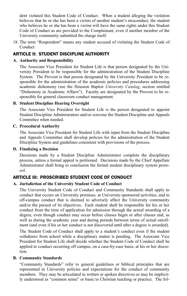dent violated this Student Code of Conduct. When a student alleging the violation believes that he or she has been a victim of another student's misconduct, the student who believes he or she has been a victim will have the same rights under this Student Code of Conduct as are provided to the Complainant, even if another member of the University community submitted the charge itself.

18. The term "Respondent" means any student accused of violating the Student Code of Conduct.

#### ARTICLE II: STUDENT DISCIPLINE AUTHORITY

#### **A. Authority and Responsibility**

 The Associate Vice President for Student Life is that person designated by the University President to be responsible for the administration of the Student Discipline System. The Provost is that person designated by the University President to be responsible for the administration of the academic policies and procedures addressing academic dishonesty (see the Houston Baptist *University Catalog*, section entitled "Dishonesty in Academic Affairs"). Faculty are designated by the Provost to be responsible for general classroom conduct management.

#### **B. Student Discipline Hearing Oversight**

 The Associate Vice President for Student Life is the person designated to appoint Student Discipline Administrators and/or convene the Student Discipline and Appeals Committee when needed.

#### **C. Procedural Authority**

 The Associate Vice President for Student Life with input from the Student Discipline and Appeals Committee shall develop policies for the administration of the Student Discipline System and guidelines consistent with provisions of the process.

#### **D. Finalizing a Decision**

 Decisions made by a Student Discipline Administrator complete the disciplinary process, unless a formal appeal is petitioned. Decisions made by the Chief Appellate Administrator shall bring to conclusion the formal student disciplinary system protocol.

#### ARTICLE III: PROSCRIBED STUDENT CODE OF CONDUCT

#### **A. Jurisdiction of the University Student Code of Conduct**

 The University Student Code of Conduct and Community Standards shall apply to conduct that occurs on University premises, at University-sponsored activities, and to off-campus conduct that is deemed to adversely affect the University community and/or the pursuit of its objectives. Each student shall be responsible for his or her conduct from the time of application for admission through the actual awarding of a degree, even though conduct may occur before classes begin or after classes end, as well as during the academic year and during periods between terms of actual enrollment (and even if his or her conduct is not discovered until after a degree is awarded).

 The Student Code of Conduct shall apply to a student's conduct even if the student withdraws from school while a disciplinary matter is pending. The Associate Vice President for Student Life shall decide whether the Student Code of Conduct shall be applied to conduct occurring off campus, on a case-by-case basis, at his or her discretion.

#### **B. Community Standards**

 "Community Standards" refer to general guidelines or biblical principles that are represented in University policies and expectations for the conduct of community members. They may be articulated in written or spoken directives or may be implicitly understood as "common sense" or basic to Christian teaching or practice. The fol-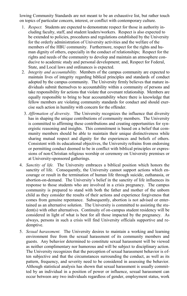lowing Community Standards are not meant to be an exhaustive list, but rather touch on topics of particular concern, interest, or conflict with contemporary culture.

- 1. *Respect.* Students are expected to demonstrate respect for those in authority including faculty, staff, and student leaders/workers. Respect is also expected to be extended to policies, procedures and regulations established by the University for the orderly administration of University activities and the welfare of the members of the HBU community. Furthermore, respect for the rights and human dignity of others, especially in the conduct of relationships; Respect for the rights and needs of the community to develop and maintain an atmosphere conducive to academic study and personal development; and, Respect for Federal, State, and Local laws and ordinances is expected.
- 2. *Integrity and accountability.* Members of the campus community are expected to maintain lives of integrity regarding biblical principles and standards of conduct adopted by the campus community. The University firmly believes that mature individuals submit themselves to accountability within a community of persons and take responsibility for actions that violate that covenant relationship. Members are equally responsible to bring to bear accountability where there is knowledge that fellow members are violating community standards for conduct and should exercise such action in humility with concern for the offender.
- 3. *Affirmation of diversity.* The University recognizes the influence that diversity has in shaping the unique contributions of community members. The University is committed to affirming these contributions and creating opportunities for synergistic reasoning and insights. This commitment is based on a belief that community members should be able to maintain their unique distinctiveness while sharing mutual respect and dignity for the experiences and beliefs of others. Consistent with its educational objectives, the University refrains from endorsing or permitting conduct deemed to be in conflict with biblical principles or expressions of non-Christian religious worship or ceremony on University premises or at University-sponsored gatherings.
- 4. *Sanctity of life.* The University embraces a biblical position which honors the sanctity of life. Consequently, the University cannot support actions which encourage or result in the termination of human life through suicide, euthanasia, or abortion-on-demand. The University's belief in the sanctity of life influences its response to those students who are involved in a crisis pregnancy. The campus community is prepared to stand with both the father and mother of the unborn child as they consider the results of their actions and experience forgiveness that comes from genuine repentance. Subsequently, abortion is not advised or entertained as an alternative solution. The University is committed to assisting the student(s) with other alternatives. Continuity of on-campus student residency will be considered in light of what is best for all those impacted by the pregnancy. As always, persons in such a crisis will find University officials supportive and redemptive.
- 5. *Sexual harassment.* The University desires to maintain a working and learning environment free from the sexual harassment of its community members and guests. Any behavior determined to constitute sexual harassment will be viewed as neither complimentary nor humorous and will be subject to disciplinary action. The University recognizes that the perception of sexual harassment behavior is often subjective and that the circumstances surrounding the conduct, as well as its pattern, frequency, and severity need to be considered in assessing the behavior. Although statistical analysis has shown that sexual harassment is usually committed by an individual in a position of power or influence, sexual harassment can occur between any two individuals regardless of gender, employment status, work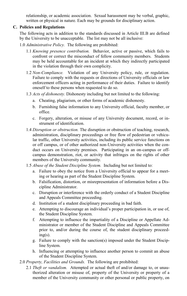relationship, or academic association. Sexual harassment may be verbal, graphic, written or physical in nature. Each may be grounds for disciplinary action.

#### **C. Policies and Regulations**

 The following acts in addition to the standards discussed in Article III.B are defined by the University to be unacceptable. The list may not be all inclusive:

- 1.0 *Administrative Policy.* The following are prohibited:
	- 1.1 *Knowing presence contribution.* Behavior, active or passive, which fails to confront or correct the misconduct of fellow community members. Students may be held accountable for an incident at which they indirectly participated in the violation through their own complicity.
	- 1.2 *Non-Compliance.* Violation of any University policy, rule, or regulation. Failure to comply with the requests or directions of University officials or law enforcement officers acting in performance of their duties. Failure to identify oneself to these persons when requested to do so.
	- 1.3 *Acts of dishonesty.* Dishonesty including but not limited to the following:
		- a. Cheating, plagiarism, or other forms of academic dishonesty.
		- b. Furnishing false information to any University official, faculty member, or office.
		- c. Forgery, alteration, or misuse of any University document, record, or instrument of identification.
	- 1.4 *Disruption or obstruction.* The disruption or obstruction of teaching, research, administration, disciplinary proceedings or free flow of pedestrian or vehicular traffic, other University activities, including its public service functions on or off campus, or of other authorized non-University activities when the conduct occurs on University premises. Participating in an on-campus or offcampus demonstration, riot, or activity that infringes on the rights of other members of the University community.
	- 1.5 *Abuse of the Student Discipline System.* Including but not limited to:
		- a. Failure to obey the notice from a University official to appear for a meeting or hearing as part of the Student Discipline System.
		- b. Falsification, distortion, or misrepresentation of information before a Discipline Administrator.
		- c. Disruption or interference with the orderly conduct of a Student Discipline and Appeals Committee proceeding.
		- d. Institution of a student disciplinary proceeding in bad faith.
		- e. Attempting to discourage an individual's proper participation in, or use of, the Student Discipline System.
		- f. Attempting to influence the impartiality of a Discipline or Appellate Administrator or member of the Student Discipline and Appeals Committee prior to, and/or during the course of, the student disciplinary proceed $ing(s)$ .
		- g. Failure to comply with the sanction(s) imposed under the Student Discipline System.
		- h. Influencing or attempting to influence another person to commit an abuse of the Student Discipline System.
- 2.0 *Property, Facilities and Grounds.* The following are prohibited:
	- 2.1 *Theft or vandalism.* Attempted or actual theft of and/or damage to, or unauthorized alteration or misuse of, property of the University or property of a member of the University community or other personal or public property, on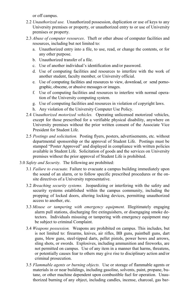or off campus.

- 2.2 *Unauthorized use.* Unauthorized possession, duplication or use of keys to any University premises or property, or unauthorized entry to or use of University premises or property.
- 2.3 *Abuse of computer resources*. Theft or other abuse of computer facilities and resources, including but not limited to:
	- a. Unauthorized entry into a file, to use, read, or change the contents, or for any other purpose.
	- b. Unauthorized transfer of a file.
	- c. Use of another individual's identification and/or password.
	- d. Use of computing facilities and resources to interfere with the work of another student, faculty member, or University official.
	- e. Use of computing facilities and resources to view, download, or send pornographic, obscene, or abusive messages or images.
	- f. Use of computing facilities and resources to interfere with normal operation of the University computing system.
	- g. Use of computing facilities and resources in violation of copyright laws.
	- h. Any violation of the University Computer Use Policy.
- 2.4 *Unauthorized motorized vehicles.* Operating unlicensed motorized vehicles, except for those prescribed for a verifiable physical disability, anywhere on University premises without the prior written consent of the Associate Vice President for Student Life.
- 2.5 *Postings and solicitation.* Posting flyers, posters, advertisements, etc. without departmental sponsorship or the approval of Student Life. Postings must be stamped "Poster Approved" and displayed in compliance with written policies available in Student Life. Solicitation of goods and the services on University premises without the prior approval of Student Life is prohibited.
- 3.0 *Safety and Security.* The following are prohibited:
	- 3.1 *Failure to evacuate.* Failure to evacuate a campus building immediately upon the sound of an alarm, or to follow specific prescribed procedures or the onsite directives of a University representative.
	- 3.2 *Breaching security systems.* Jeopardizing or interfering with the safety and security systems established within the campus community, including the propping of locked doors, altering locking devices, permitting unauthorized access to another, etc.
	- 3.3 *Misuse or tampering with emergency equipment.* Illegitimately engaging alarm pull stations, discharging fire extinguishers, or disengaging smoke detectors. Individuals misusing or tampering with emergency equipment may be subject to criminal Complaint.
	- 3.4 *Weapons possession.* Weapons are prohibited on campus. This includes, but is not limited to: firearms, knives, air rifles, BB guns, paintball guns, dart guns, blow guns, steel-tipped darts, pellet pistols, power bows and arrows, sling shots, or swords. Explosives, including ammunition and fireworks, are not permitted on campus. Use of any item in a manner that harms, threatens, or potentially causes fear to others may give rise to disciplinary action and/or criminal prosecution.
	- 3.5 *Flammable agents or burning objects.* Use or storage of flammable agents or materials in or near buildings, including gasoline, solvents, paint, propane, butane, or other machine dependent upon combustible fuel for operation. Unauthorized burning of any object, including candles, incense, charcoal, gas bar-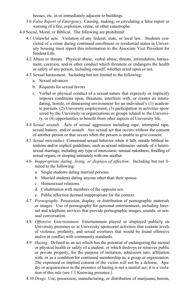becues, etc. in or immediately adjacent to buildings.

- 3.6 *False Report of Emergency.* Causing, making, or circulating a false report or warning of a fire, explosion, crime, or other catastrophe.
- 4.0 Social, Moral, or Biblical. The following are prohibited:
	- 4.1 Unlawful acts. Violation of any federal, state, or local law. Students convicted of a crime during continued enrollment or residential status in University housing must report this information to the Associate Vice President for Student Life.
	- 4.2 Abuse or threats. Physical abuse, verbal abuse, threats, intimidation, harassment, coercion, and/or other conduct which threatens or endangers the health or safety of any person, including oneself, whether acted upon or not.
	- 4.3 Sexual harassment. Including but not limited to the following:
		- a. Sexual advances
		- b. Requests for sexual favors
		- c. Verbal or physical conduct of a sexual nature that expressly or implicitly imposes conditions upon, threatens, interferes with, or creates an intimidating, hostile, or demeaning environment for an individual's (1) academic pursuits, (2) University employment, (3) participation in activities sponsored by the University or organizations or groups related to the University, or (4) opportunities to benefit from other aspects of University life.
	- 4.4 *Sexual assault.* Acts of sexual aggression including rape, attempted rape, sexual battery, and/or assault. Any sexual act that occurs without the consent of another person or that occurs when the person is unable to give consent.
	- 4.5 *Sexual misconduct.* Consensual sexual behavior when it falls outside biblical intentions and/or explicit guidelines, such as sexual intimacies outside of a heterosexual marriage, including any type of intercourse, sensual nakedness, fondling of sexual organs, or sleeping intimately with one another.
	- 4.6 *Inappropriate dating, living, or displays of affection*. Including but not limited to the following:
		- a. Single students dating married persons.
		- b. Married students dating anyone other than their spouse.
		- c. Homosexual relations.
		- d. Cohabitation with members of the opposite sex.
		- e. Public affection deemed inappropriate for the context.
	- 4.7 *Pornography.* Possession, display, or distribution of pornographic materials or images. Use of pornography for personal entertainment, including Internet and telephone services that provide pornographic images, sounds, or sensual conversation.
	- 4.8 *Offensive Entertainment.* Entertainment played or displayed publicly on University premises or at University-sponsored activities that contain levels of violence, profanity, and sexual overtures that would be found offensive and/or in conflict with community standards.
	- 4.9 *Hazing.* Defined as an act which has the potential of endangering the mental or physical health or safety of a student, or which destroys or removes public or private property, for the purpose of initiation, admission into, affiliation with, or as a condition for continued membership in, a group or organization. The expressed or implied consent of the victim will not be a defense. Apathy or acquiescence in the presence of hazing is not a neutral act; it is a violation of this rule (see 1.1 Knowing presence.)
	- 4.10 *Drugs.* Use, possession, manufacturing, or distribution of marijuana, heroin,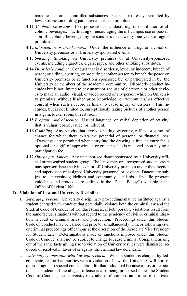narcotics, or other controlled substances except as expressly permitted by law. Possession of drug paraphernalia is also prohibited.

- 4.11 *Alcoholic beverages.* Use, possession, manufacturing, or distribution of alcoholic beverages. Facilitating or encouraging the off-campus use or possession of alcoholic beverages by persons less than twenty-one years of age is prohibited.
- 4.12 *Intoxication or drunkenness.* Under the influence of drugs or alcohol on University premises or at University-sponsored events.
- 4.13 *Smoking.* Smoking on University premises or at University-sponsored events, including cigarettes, cigars, pipes, and other smoking substitutes.
- 4.14 *Disorderly conduct.* Conduct that is disorderly, lewd, or indecent; breach of peace; or aiding, abetting, or procuring another person to breach the peace on University premises or at functions sponsored by, or participated in by, the University or members of the academic community. Disorderly conduct includes but is not limited to any unauthorized use of electronic or other devices to make an audio, visual, or video record of any person while on University premises without his/her prior knowledge, or without his/her effective consent when such a record is likely to cause injury or distress. This includes, but is not limited to, surreptitiously taking pictures of another person in a gym, locker room, or rest room.
- 4.15 *Profanity and obscenity.* Use of language, or verbal depiction of activity, that is vulgar, coarse, crude, or indecent.
- 4.16 *Gambling.* Any activity that involves betting, wagering, raffles, or games of chance for which there exists the potential of personal or financial loss. "Drawings" are permitted when entry into the drawing is free, an entry fee is optional, or a gift of approximate or greater value is received upon paying a participation fee.
- 4.17 *On-campus dances.* Any unauthorized dance sponsored by a University official or recognized student group. The University or a recognized student group may sponsor dance activities on or off University premises under the direction and supervision of assigned University personnel or advisors. Dances are subject to University guidelines and community standards. Specific program guidelines and protocols are outlined in the "Dance Policy" (available in the Office of Student Life).

#### **D. Violation of Law and University Discipline**

- 1. *Separate processes.* University disciplinary proceedings may be instituted against a student charged with conduct that potentially violates both the criminal law and the Student Code of Conduct of Conduct (that is, if both possible violations result from the same factual situation) without regard to the pendency of civil or criminal litigation in court or criminal arrest and prosecution. Proceedings under this Student Code of Conduct may be carried out prior to, simultaneously with, or following civil or criminal proceedings off campus at the discretion of the Associate Vice President for Student Life. Determinations made or sanctions imposed under this Student Code of Conduct shall not be subject to change because criminal Complaint arising out of the same facts giving rise to violation of University rules were dismissed, reduced, or resolved in favor of or against the criminal law defendant.
- 2. *University cooperation with law enforcement.* When a student is charged by federal, state, or local authorities with a violation of law, the University will not request or agree to special consideration for that individual because of his or her status as a student. If the alleged offense is also being processed under the Student Code of Conduct, the University may advise off-campus authorities of the exis-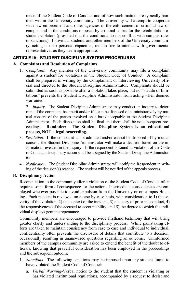tence of the Student Code of Conduct and of how such matters are typically handled within the University community. The University will attempt to cooperate with law enforcement and other agencies in the enforcement of criminal law on campus and in the conditions imposed by criminal courts for the rehabilitation of student violators (provided that the conditions do not conflict with campus rules or sanctions). Individual students and other members of the University community, acting in their personal capacities, remain free to interact with governmental representatives as they deem appropriate.

#### ARTICLE IV: STUDENT DISCIPLINE SYSTEM PROCEDURES

#### **A. Complaints and Resolution of Complaints**

1. *Complaint.* Any member of the University community may file a complaint against a student for violations of the Student Code of Conduct. A complaint shall be prepared in writing by the Complainant or interviewing University official and directed to the Student Discipline Administrator. Complaints should be submitted as soon as possible after a violation takes place, but no "statute of limitations" prevents the Student Discipline Administrator from acting when deemed warranted.

2. *Inquiry.* The Student Discipline Administrator may conduct an inquiry to determine if the complaint has merit and/or if it can be disposed of administratively by mutual consent of the parties involved on a basis acceptable to the Student Discipline Administrator. Such disposition shall be final and there shall be no subsequent proceedings. **Reminder: The Student Discipline System is an educational process, NOT a legal proceeding.**

- 3. *Resolution.* If the complaint is not admitted and/or cannot be disposed of by mutual consent, the Student Discipline Administrator will make a decision based on the information revealed in the inquiry. If the respondent is found in violation of the Code of Conduct, disciplinary action shall be assigned by the Student Discipline Administrator.
- 4. *Notification.* The Student Discipline Administrator will notify the Respondent in writing of the decision(s) reached. The student will be notified of the appeals process.

#### **B. Disciplinary Action**

 Reconciliation to the community after a violation of the Student Code of Conduct often requires some form of consequence for the action. Intermediate consequences are employed wherever possible to avoid expulsion from the University or on-campus Housing. Each incident is reviewed on a case-by-case basis, with consideration to 1) the severity of the violation, 2) the context of the incident, 3) a history of prior misconduct, 4) the responsiveness of the accused to accountability, and 5) the degree to which the individual displays genuine repentance.

 Community members are encouraged to provide firsthand testimony that will bring greater clarity and understanding to the disciplinary process. While painstaking efforts are taken to maintain consistency from case to case and individual to individual, confidentiality often prevents the disclosure of details that contribute to a decision, occasionally resulting in unanswered questions regarding an outcome. Uninformed members of the campus community are asked to extend the benefit of the doubt to officials, knowing that prayerful consideration has been employed in the proceedings and the subsequent outcome.

- 1. *Sanctions.* The following sanctions may be imposed upon any student found to have violated the Student Code of Conduct:
	- a. *Verbal Warning*-Verbal notice to the student that the student is violating or has violated institutional regulations, accompanied by a request to desist and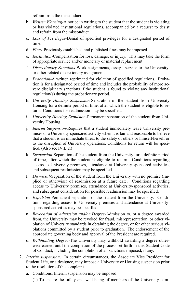refrain from the misconduct.

- b. *Written Warning*-A notice in writing to the student that the student is violating or has violated institutional regulations, accompanied by a request to desist and refrain from the misconduct.
- c. *Loss of Privileges*-Denial of specified privileges for a designated period of time.
- d. *Fines*-Previously established and published fines may be imposed.
- e. *Restitution*-Compensation for loss, damage, or injury. This may take the form of appropriate service and/or monetary or material replacement.
- f. *Discretionary Sanctions*-Work assignments, essays, service to the University, or other related discretionary assignments.
- g. *Probation*-A written reprimand for violation of specified regulations. Probation is for a designated period of time and includes the probability of more severe disciplinary sanctions if the student is found to violate any institutional regulation(s) during the probationary period.
- h. *University Housing Suspension*-Separation of the student from University Housing for a definite period of time, after which the student is eligible to return. Conditions for readmission may be specified.
- i. *University Housing Expulsion*-Permanent separation of the student from University Housing.
- j. *Interim Suspension*-Requires that a student immediately leave University premises or a University-sponsored activity when it is fair and reasonable to believe that a student is an immediate threat to the safety of others or himself/herself or to the disruption of University operations. Conditions for return will be specified. (Also see IV.B.2.)
- k. *Suspension*-Separation of the student from the University for a definite period of time, after which the student is eligible to return. Conditions regarding access to University premises, attendance at University-sponsored activities, and subsequent readmission may be specified.
- l. *Dismissal*-Separation of the student from the University with no promise (implied or otherwise) of readmission at a future date. Conditions regarding access to University premises, attendance at University-sponsored activities, and subsequent consideration for possible readmission may be specified.
- m. *Expulsion*-Permanent separation of the student from the University. Conditions regarding access to University premises and attendance at Universitysponsored activities may be specified.
- n. *Revocation of Admission and/or Degree*-Admission to, or a degree awarded from, the University may be revoked for fraud, misrepresentation, or other violation of University standards in obtaining the degree, or for other serious violations committed by a student prior to graduation. The endorsement of the appropriate governing body and approval of the President are required.
- o. *Withholding Degree*-The University may withhold awarding a degree otherwise earned until the completion of the process set forth in this Student Code of Conduct, including the completion of all sanctions imposed, if any.
- 2. *Interim suspension*. In certain circumstances, the Associate Vice President for Student Life, or a designee, may impose a University or Housing suspension prior to the resolution of the complaint.
	- a. Conditions. Interim suspension may be imposed:
		- (1) To ensure the safety and well-being of members of the University com-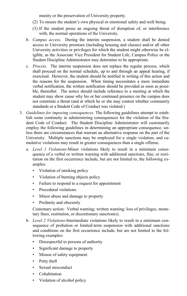munity or the preservation of University property.

- (2) To ensure the student's own physical or emotional safety and well-being.
- (3) If the student poses an ongoing threat of disruption of, or interference with, the normal operations of the University.
- b. *Campus access.* During the interim suspension, a student shall be denied access to University premises (including housing and classes) and/or all other University activities or privileges for which the student might otherwise be eligible, as the Associate Vice President for Student Life, Campus Police or the Student Discipline Administrator may determine to be appropriate.
- c. *Process.* The interim suspension does not replace the regular process, which shall proceed on the normal schedule, up to and through an appeal hearing, if exercised. However, the student should be notified in writing of this action and the reasons for the suspension. When timing necessitates a more immediate verbal notification, the written notification should be provided as soon as possible, thereafter. The notice should include reference to a meeting at which the student may show cause why his or her continued presence on the campus does not constitute a threat (and at which he or she may contest whether community standards or a Student Code of Conduct was violated.)
- 3. *Guidelines for imposing consequences.* The following guidelines attempt to establish some continuity in administering consequences for the violation of the Student Code of Conduct. The Student Discipline Administrator will customarily employ the following guidelines in determining an appropriate consequence, unless there are circumstances that warrant an alternative response on the part of the University. Multiple sanctions may be employed for a single violation, and cumulative violations may result in greater consequences than a single offense.
	- a. *Level 1 Violations*-Minor violations likely to result in a minimum consequence of a verbal or written warning with additional sanctions, fine, or restitution on the first occurrence include, but are not limited to, the following examples:
		- Violation of smoking policy
		- Violation of burning objects policy
		- Failure to respond to a request for appointment
		- Procedural violations
		- Minor abuse and damage to property
		- Profanity and obscenity

 Customary action: Verbal warning; written warning; loss of privileges, monetary fines, restitution, or discretionary sanction(s).

- b. *Level 2 Violations*-Intermediate violations likely to result in a minimum consequence of probation or limited-term suspension with additional sanctions and conditions on the first occurrence include, but are not limited to the following examples:
	- Disrespectful to persons of authority
	- Significant damage to property
	- Misuse of safety equipment
	- Petty theft
	- Sexual misconduct
	- Cohabitation
	- Violation of alcohol policy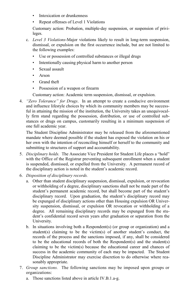- Intoxication or drunkenness
- Repeat offenses of Level 1 Violations

 Customary action: Probation, multiple-day suspension, or suspension of privileges.

- c. *Level 3 Violations*-Major violations likely to result in long-term suspension, dismissal, or expulsion on the first occurrence include, but are not limited to the following examples:
	- Use or possession of controlled substances or illegal drugs
	- Intentionally causing physical harm to another person
	- Sexual assault
	- Arson
	- Grand theft
	- Possession of a weapon or firearm

Customary action: Academic term suspension, dismissal, or expulsion.

4. *"Zero Tolerance" for Drugs*. In an attempt to create a conducive environment and influence lifestyle choices by which its community members may be successful in attaining the mission of the institution, the University takes an unequivocally firm stand regarding the possession, distribution, or use of controlled substances or drugs on campus, customarily resulting in a minimum suspension of one full academic year.

 The Student Discipline Administrator may be released from the aforementioned mandate where deemed possible if the student has exposed the violation on his or her own with the intention of reconciling himself or herself to the community and submitting to structures of support and accountability.

- 5. *Disciplinary holds.* The Associate Vice President for Student Life places a "hold" with the Office of the Registrar preventing subsequent enrollment when a student is suspended, dismissed, or expelled from the University. A permanent record of the disciplinary action is noted in the student's academic record.
- 6. *Disposition of disciplinary records.* 
	- a. Other than student disciplinary suspension, dismissal, expulsion, or revocation or withholding of a degree, disciplinary sanctions shall not be made part of the student's permanent academic record, but shall become part of the student's disciplinary record. Upon graduation, the student's disciplinary record may be expunged of disciplinary actions other than Housing expulsion OR University suspension, dismissal, or expulsion OR revocation or withholding of a degree. All remaining disciplinary records may be expunged from the student's confidential record seven years after graduation or separation from the University.
	- b. In situations involving both a Respondent(s) (or group or organization) and a student(s) claiming to be the victim(s) of another student's conduct, the records of the process and the sanctions imposed, if any, shall be considered to be the educational records of both the Respondent(s) and the student(s) claiming to be the victim(s) because the educational career and chances of success in the academic community of each may be impacted. The Student Discipline Administrator may exercise discretion to do otherwise where reasonably appropriate.
- 7. *Group sanctions.* The following sanctions may be imposed upon groups or organizations:
	- a. Those sanctions listed above in article IV.B.1.a-g.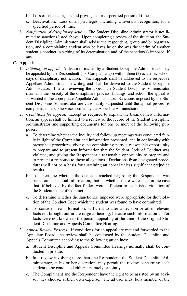- b. Loss of selected rights and privileges for a specified period of time.
- c. Deactivation. Loss of all privileges, including University recognition, for a specified period of time.
- 8. *Notification of disciplinary action.* The Student Discipline Administrator is not limited to sanctions listed above. Upon completing a review of the situation, the Student Discipline Administrator shall advise the respondent, group and/or organization, and a complaining student who believes he or she was the victim of another student's conduct in writing of its determination and of the sanction(s) imposed, if any.

#### **C. Appeals**

- 1. *Initiating an appeal.* A decision reached by a Student Discipline Administrator may be appealed by the Respondent(s) or Complainant(s) within three (3) academic school days of disciplinary notification. Such appeals shall be addressed to the respective Appellate Administrator in writing and shall be delivered to the Student Discipline Administrator. If after reviewing the appeal, the Student Discipline Administrator maintains the veracity of the disciplinary process, findings, and action, the appeal is forwarded to the appropriate Appellate Administrator. Sanctions imposed by the Student Discipline Administrator are customarily suspended until the appeal process is completed, unless otherwise notified by the Appellate Administrator.
- 2. *Conditions for appeal.* Except as required to explain the basis of new information, an appeal shall be limited to a review of the record of the Student Discipline Administrator and supporting documents for one or more of the following purposes:
	- a. To determine whether the inquiry and follow up meetings was conducted fairly in light of the Complaint and information presented, and in conformity with prescribed procedures giving the complaining party a reasonable opportunity to prepare and to present information that the Student Code of Conduct was violated, and giving the Respondent a reasonable opportunity to prepare and to present a response to those allegations. Deviations from designated procedures will not be a basis for sustaining an appeal unless significant prejudice results.
	- b. To determine whether the decision reached regarding the Respondent was based on substantial information, that is, whether there were facts in the case that, if believed by the fact finder, were sufficient to establish a violation of the Student Code of Conduct.
	- c. To determine whether the sanction(s) imposed were appropriate for the violation of the Conduct Code which the student was found to have committed.
	- d. To consider new information, sufficient to alter a decision or other relevant facts not brought out in the original hearing, because such information and/or facts were not known to the person appealing at the time of the original Student Discipline and Appeals Committee Hearing.
- 3. *Appeal Review Process.* If conditions for an appeal are met and forwarded to the Appellate Board, the review shall be conducted by the Student Discipline and Appeals Committee according to the following guidelines:
	- a. Student Discipline and Appeals Committee Hearings normally shall be conducted in private.
	- b. In a review involving more than one Respondent, the Student Discipline Administrator, at his or her discretion, may permit the review concerning each student to be conducted either separately or jointly.
	- c. The Complainant and the Respondent have the right to be assisted by an advisor they choose, at their own expense. The advisor must be a member of the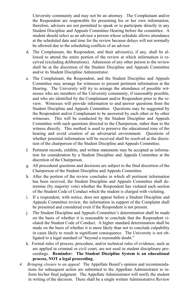University community and may not be an attorney. The Complainant and/or the Respondent are responsible for presenting his or her own information; therefore, advisors are not permitted to speak or to participate directly in any Student Discipline and Appeals Committee Hearing before the committee. A student should select as an advisor a person whose schedule allows attendance at the scheduled date and time for the review because delays will not normally be allowed due to the scheduling conflicts of an advisor.

- d. The Complainant, the Respondent, and their advisor(s), if any, shall be allowed to attend the entire portion of the review at which information is received (excluding deliberations). Admission of any other person to the review shall be at the discretion of the Student Discipline and Appeals Committee and/or its Student Discipline Administrator.
- e. The Complainant, the Respondent, and the Student Discipline and Appeals Committee may arrange for witnesses to present pertinent information at the Hearing. The University will try to arrange the attendance of possible witnesses who are members of the University community, if reasonably possible, and who are identified by the Complainant and/or Respondent prior to the review. Witnesses will provide information to and answer questions from the Student Discipline and Appeals Committee. Questions may be suggested by the Respondent and/or Complainant to be answered by each other or by other witnesses. This will be conducted by the Student Discipline and Appeals Committee with such questions directed to the Chairperson, rather than to the witness directly. This method is used to preserve the educational tone of the hearing and avoid creation of an adversarial environment. Questions of whether potential information will be received shall be resolved at the discretion of the chairperson of the Student Discipline and Appeals Committee.
- f. Pertinent records, exhibits, and written statements may be accepted as information for consideration by a Student Discipline and Appeals Committee at the discretion of the Chairperson.
- g. All procedural questions and decisions are subject to the final discretion of the Chairperson of the Student Discipline and Appeals Committee.
- h. After the portion of the review concludes in which all pertinent information has been received, the Student Discipline and Appeals Committee shall determine (by majority vote) whether the Respondent has violated each section of the Student Code of Conduct which the student is charged with violating.
- i. If a respondent, with notice, does not appear before a Student Discipline and Appeals Committee review, the information in support of the Complaint shall be presented and considered even if the Respondent is not present.
- j. The Student Discipline and Appeals Committee's determination shall be made on the basis of whether it is reasonable to conclude that the Respondent violated the Student Code of Conduct. A higher standard determination shall be made on the basis of whether it is more likely than not to conclude culpability in cases likely to result in significant consequence. The University is not obligated to a legal standard of "beyond a reasonable doubt."
- k. Formal rules of process, procedure, and/or technical rules of evidence, such as are applied in criminal or civil court, are not used in student disciplinary proceedings. **Reminder: The Student Discipline System is an educational process, NOT a legal proceeding.**
- *4. Bringing closure to an appeal.* The Appellate Board's opinion and recommendations for subsequent action are submitted to the Appellate Administrator to inform his/her final judgment. The Appellate Administrator will notify the student in writing of the decision. There shall be a single written Administrative Review